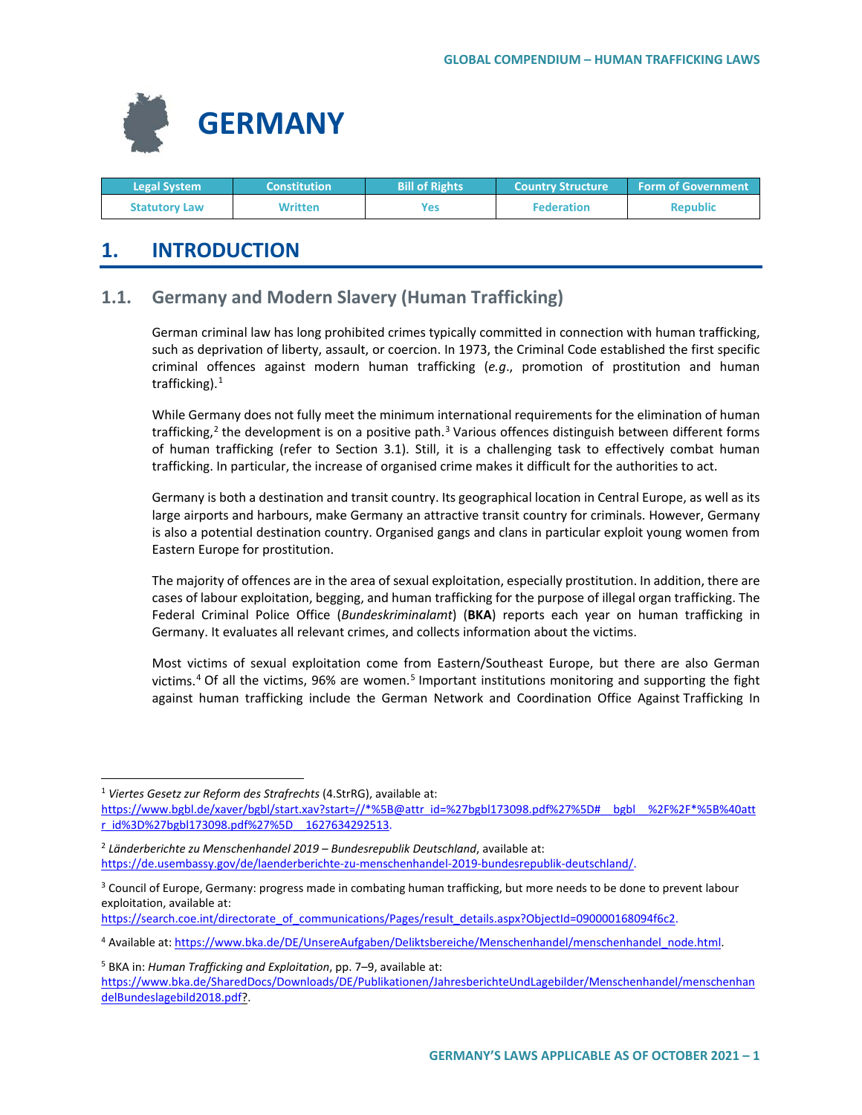

| <b>Legal System</b>  | <b>Constitution</b> | <b>Bill of Rights</b> | <b>Country Structure ا</b> | <b>Form of Government</b> |
|----------------------|---------------------|-----------------------|----------------------------|---------------------------|
| <b>Statutory Law</b> | Written             | Yes                   | <b>Federation</b>          | <b>Republic</b>           |

# **1. INTRODUCTION**

# **1.1. Germany and Modern Slavery (Human Trafficking)**

German criminal law has long prohibited crimes typically committed in connection with human trafficking, such as deprivation of liberty, assault, or coercion. In 1973, the Criminal Code established the first specific criminal offences against modern human trafficking (*e.g*., promotion of prostitution and human trafficking). $1$ 

While Germany does not fully meet the minimum international requirements for the elimination of human trafficking, $2$  the development is on a positive path. $3$  Various offences distinguish between different forms of human trafficking (refer to Section 3.1). Still, it is a challenging task to effectively combat human trafficking. In particular, the increase of organised crime makes it difficult for the authorities to act.

Germany is both a destination and transit country. Its geographical location in Central Europe, as well as its large airports and harbours, make Germany an attractive transit country for criminals. However, Germany is also a potential destination country. Organised gangs and clans in particular exploit young women from Eastern Europe for prostitution.

The majority of offences are in the area of sexual exploitation, especially prostitution. In addition, there are cases of labour exploitation, begging, and human trafficking for the purpose of illegal organ trafficking. The Federal Criminal Police Office (*Bundeskriminalamt*) (**BKA**) reports each year on human trafficking in Germany. It evaluates all relevant crimes, and collects information about the victims.

Most victims of sexual exploitation come from Eastern/Southeast Europe, but there are also German victims.<sup>[4](#page-0-3)</sup> Of all the victims, 96% are women.<sup>[5](#page-0-4)</sup> Important institutions monitoring and supporting the fight against human trafficking include the German Network and Coordination Office Against Trafficking In

<span id="page-0-0"></span> <sup>1</sup> *Viertes Gesetz zur Reform des Strafrechts* (4.StrRG), available at:

[https://www.bgbl.de/xaver/bgbl/start.xav?start=//\\*%5B@attr\\_id=%27bgbl173098.pdf%27%5D#\\_\\_bgbl\\_\\_%2F%2F\\*%5B%40att](https://www.bgbl.de/xaver/bgbl/start.xav?start=//*%5B@attr_id=%27bgbl173098.pdf%27%5D#__bgbl__%2F%2F*%5B%40attr_id%3D%27bgbl173098.pdf%27%5D__1627634292513) [r\\_id%3D%27bgbl173098.pdf%27%5D\\_\\_1627634292513.](https://www.bgbl.de/xaver/bgbl/start.xav?start=//*%5B@attr_id=%27bgbl173098.pdf%27%5D#__bgbl__%2F%2F*%5B%40attr_id%3D%27bgbl173098.pdf%27%5D__1627634292513)

<span id="page-0-1"></span><sup>2</sup> *Länderberichte zu Menschenhandel 2019 – Bundesrepublik Deutschland*, available at: [https://de.usembassy.gov/de/laenderberichte-zu-menschenhandel-2019-bundesrepublik-deutschland/.](https://de.usembassy.gov/de/laenderberichte-zu-menschenhandel-2019-bundesrepublik-deutschland/)

<span id="page-0-2"></span><sup>&</sup>lt;sup>3</sup> Council of Europe, Germany: progress made in combating human trafficking, but more needs to be done to prevent labour exploitation, available at:

[https://search.coe.int/directorate\\_of\\_communications/Pages/result\\_details.aspx?ObjectId=090000168094f6c2.](https://search.coe.int/directorate_of_communications/Pages/result_details.aspx?ObjectId=090000168094f6c2)

<span id="page-0-3"></span><sup>4</sup> Available at[: https://www.bka.de/DE/UnsereAufgaben/Deliktsbereiche/Menschenhandel/menschenhandel\\_node.html.](https://www.bka.de/DE/UnsereAufgaben/Deliktsbereiche/Menschenhandel/menschenhandel_node.html)

<span id="page-0-4"></span><sup>5</sup> BKA in: *Human Trafficking and Exploitation*, pp. 7–9, available at: [https://www.bka.de/SharedDocs/Downloads/DE/Publikationen/JahresberichteUndLagebilder/Menschenhandel/menschenhan](https://www.bka.de/SharedDocs/Downloads/DE/Publikationen/JahresberichteUndLagebilder/Menschenhandel/menschenhandelBundeslagebild2018.pdf) [delBundeslagebild2018.pdf?](https://www.bka.de/SharedDocs/Downloads/DE/Publikationen/JahresberichteUndLagebilder/Menschenhandel/menschenhandelBundeslagebild2018.pdf).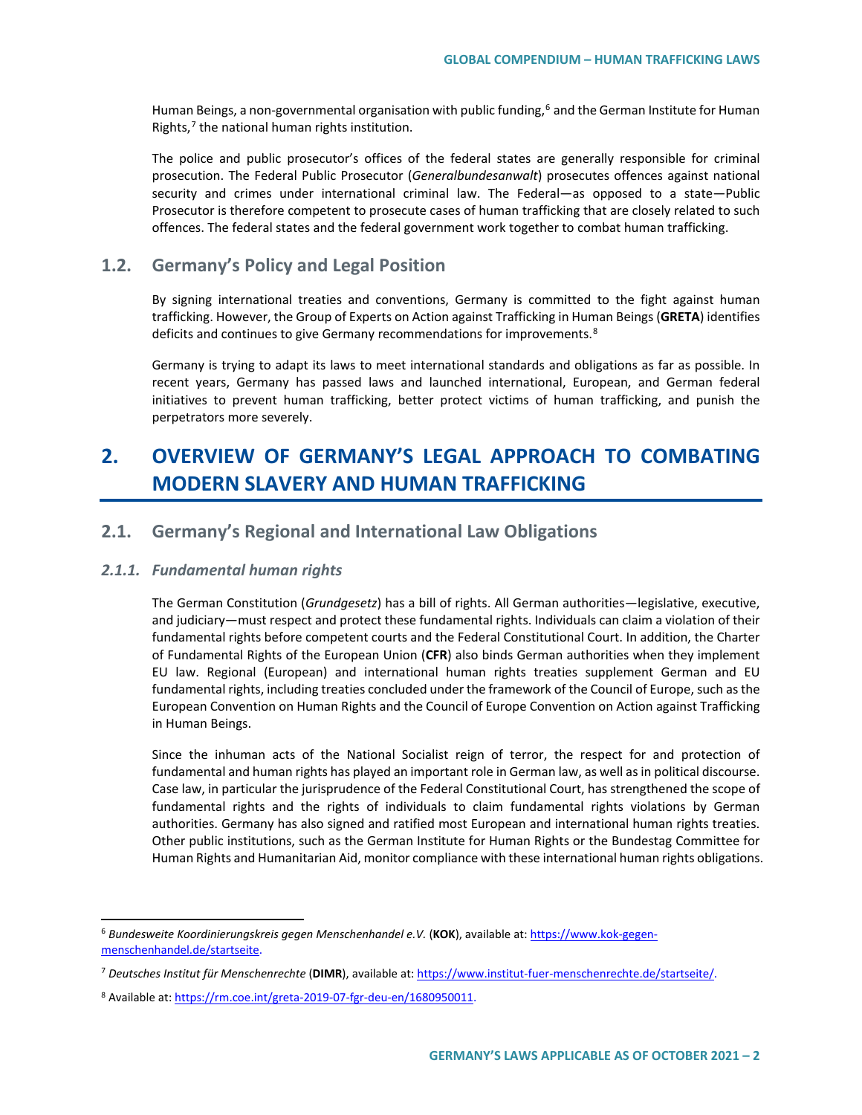Human Beings, a non-governmental organisation with public funding,<sup>[6](#page-1-0)</sup> and the German Institute for Human Rights, $<sup>7</sup>$  $<sup>7</sup>$  $<sup>7</sup>$  the national human rights institution.</sup>

The police and public prosecutor's offices of the federal states are generally responsible for criminal prosecution. The Federal Public Prosecutor (*Generalbundesanwalt*) prosecutes offences against national security and crimes under international criminal law. The Federal—as opposed to a state—Public Prosecutor is therefore competent to prosecute cases of human trafficking that are closely related to such offences. The federal states and the federal government work together to combat human trafficking.

# **1.2. Germany's Policy and Legal Position**

By signing international treaties and conventions, Germany is committed to the fight against human trafficking. However, the Group of Experts on Action against Trafficking in Human Beings (**GRETA**) identifies deficits and continues to give Germany recommendations for improvements.<sup>[8](#page-1-2)</sup>

Germany is trying to adapt its laws to meet international standards and obligations as far as possible. In recent years, Germany has passed laws and launched international, European, and German federal initiatives to prevent human trafficking, better protect victims of human trafficking, and punish the perpetrators more severely.

# **2. OVERVIEW OF GERMANY'S LEGAL APPROACH TO COMBATING MODERN SLAVERY AND HUMAN TRAFFICKING**

## **2.1. Germany's Regional and International Law Obligations**

### *2.1.1. Fundamental human rights*

The German Constitution (*Grundgesetz*) has a bill of rights. All German authorities—legislative, executive, and judiciary—must respect and protect these fundamental rights. Individuals can claim a violation of their fundamental rights before competent courts and the Federal Constitutional Court. In addition, the Charter of Fundamental Rights of the European Union (**CFR**) also binds German authorities when they implement EU law. Regional (European) and international human rights treaties supplement German and EU fundamental rights, including treaties concluded under the framework of the Council of Europe, such as the European Convention on Human Rights and the Council of Europe Convention on Action against Trafficking in Human Beings.

Since the inhuman acts of the National Socialist reign of terror, the respect for and protection of fundamental and human rights has played an important role in German law, as well as in political discourse. Case law, in particular the jurisprudence of the Federal Constitutional Court, has strengthened the scope of fundamental rights and the rights of individuals to claim fundamental rights violations by German authorities. Germany has also signed and ratified most European and international human rights treaties. Other public institutions, such as the German Institute for Human Rights or the Bundestag Committee for Human Rights and Humanitarian Aid, monitor compliance with these international human rights obligations.

<span id="page-1-0"></span> <sup>6</sup> *Bundesweite Koordinierungskreis gegen Menschenhandel e.V.* (**KOK**), available at[: https://www.kok-gegen](https://www.kok-gegen-menschenhandel.de/startseite)[menschenhandel.de/startseite.](https://www.kok-gegen-menschenhandel.de/startseite)

<span id="page-1-1"></span><sup>7</sup> *Deutsches Institut für Menschenrechte* (**DIMR**), available at[: https://www.institut-fuer-menschenrechte.de/startseite/.](https://www.institut-fuer-menschenrechte.de/startseite/)

<span id="page-1-2"></span><sup>8</sup> Available at[: https://rm.coe.int/greta-2019-07-fgr-deu-en/1680950011.](https://rm.coe.int/greta-2019-07-fgr-deu-en/1680950011)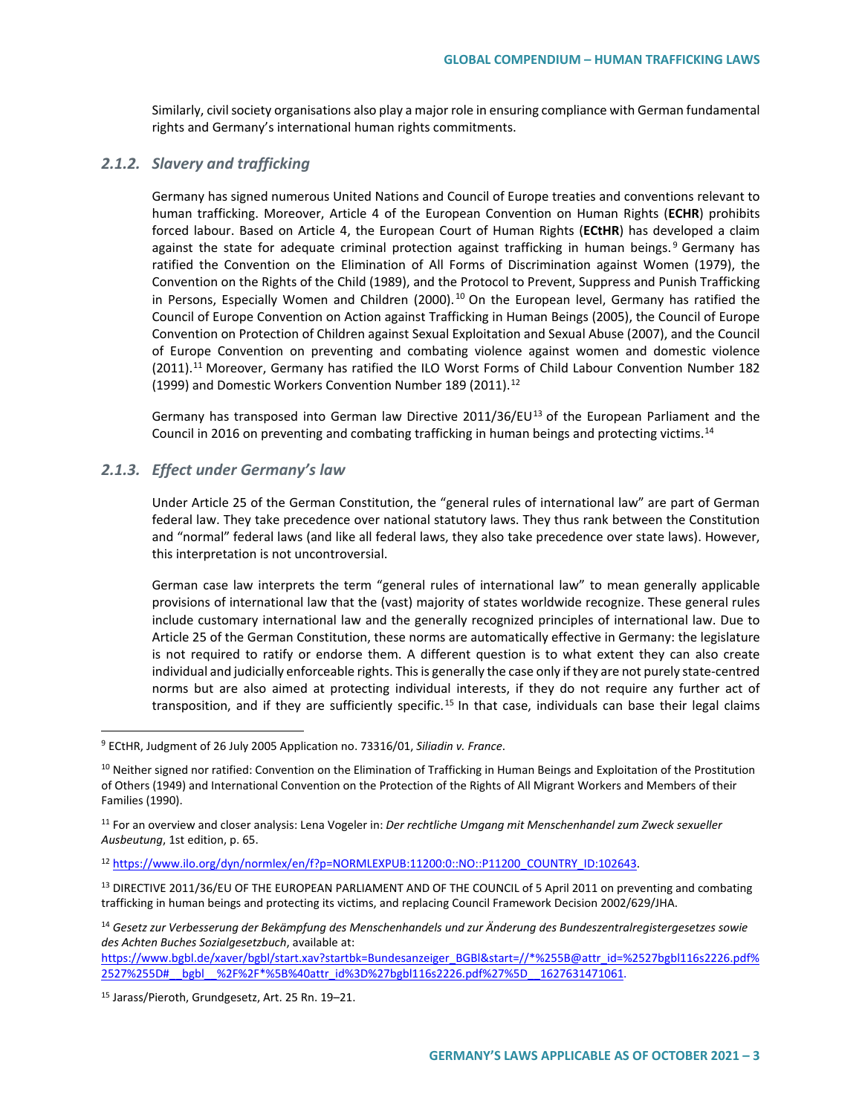Similarly, civil society organisations also play a major role in ensuring compliance with German fundamental rights and Germany's international human rights commitments.

### *2.1.2. Slavery and trafficking*

Germany has signed numerous United Nations and Council of Europe treaties and conventions relevant to human trafficking. Moreover, Article 4 of the European Convention on Human Rights (**ECHR**) prohibits forced labour. Based on Article 4, the European Court of Human Rights (**ECtHR**) has developed a claim against the state for adequate criminal protection against trafficking in human beings.<sup>[9](#page-2-0)</sup> Germany has ratified the Convention on the Elimination of All Forms of Discrimination against Women (1979), the Convention on the Rights of the Child (1989), and the Protocol to Prevent, Suppress and Punish Trafficking in Persons, Especially Women and Children (2000).<sup>[10](#page-2-1)</sup> On the European level, Germany has ratified the Council of Europe Convention on Action against Trafficking in Human Beings (2005), the Council of Europe Convention on Protection of Children against Sexual Exploitation and Sexual Abuse (2007), and the Council of Europe Convention on preventing and combating violence against women and domestic violence (20[11](#page-2-2)).<sup>11</sup> Moreover, Germany has ratified the ILO Worst Forms of Child Labour Convention Number 182 (1999) and Domestic Workers Convention Number 189 (2011).<sup>[12](#page-2-3)</sup>

Germany has transposed into German law Directive 2011/36/EU<sup>[13](#page-2-4)</sup> of the European Parliament and the Council in 2016 on preventing and combating trafficking in human beings and protecting victims.<sup>[14](#page-2-5)</sup>

### *2.1.3. Effect under Germany's law*

Under Article 25 of the German Constitution, the "general rules of international law" are part of German federal law. They take precedence over national statutory laws. They thus rank between the Constitution and "normal" federal laws (and like all federal laws, they also take precedence over state laws). However, this interpretation is not uncontroversial.

German case law interprets the term "general rules of international law" to mean generally applicable provisions of international law that the (vast) majority of states worldwide recognize. These general rules include customary international law and the generally recognized principles of international law. Due to Article 25 of the German Constitution, these norms are automatically effective in Germany: the legislature is not required to ratify or endorse them. A different question is to what extent they can also create individual and judicially enforceable rights. This is generally the case only if they are not purely state-centred norms but are also aimed at protecting individual interests, if they do not require any further act of transposition, and if they are sufficiently specific.<sup>[15](#page-2-6)</sup> In that case, individuals can base their legal claims

[https://www.bgbl.de/xaver/bgbl/start.xav?startbk=Bundesanzeiger\\_BGBl&start=//\\*%255B@attr\\_id=%2527bgbl116s2226.pdf%](https://www.bgbl.de/xaver/bgbl/start.xav?startbk=Bundesanzeiger_BGBl&start=//*%255B@attr_id=%2527bgbl116s2226.pdf%2527%255D#__bgbl__%2F%2F*%5B%40attr_id%3D%27bgbl116s2226.pdf%27%5D__1627631471061) [2527%255D#\\_\\_bgbl\\_\\_%2F%2F\\*%5B%40attr\\_id%3D%27bgbl116s2226.pdf%27%5D\\_\\_1627631471061.](https://www.bgbl.de/xaver/bgbl/start.xav?startbk=Bundesanzeiger_BGBl&start=//*%255B@attr_id=%2527bgbl116s2226.pdf%2527%255D#__bgbl__%2F%2F*%5B%40attr_id%3D%27bgbl116s2226.pdf%27%5D__1627631471061)

<span id="page-2-0"></span> <sup>9</sup> ECtHR, Judgment of 26 July 2005 Application no. 73316/01, *Siliadin v. France*.

<span id="page-2-1"></span> $10$  Neither signed nor ratified: Convention on the Elimination of Trafficking in Human Beings and Exploitation of the Prostitution of Others (1949) and International Convention on the Protection of the Rights of All Migrant Workers and Members of their Families (1990).

<span id="page-2-2"></span><sup>11</sup> For an overview and closer analysis: Lena Vogeler in: *Der rechtliche Umgang mit Menschenhandel zum Zweck sexueller Ausbeutung*, 1st edition, p. 65.

<span id="page-2-3"></span><sup>12</sup> [https://www.ilo.org/dyn/normlex/en/f?p=NORMLEXPUB:11200:0::NO::P11200\\_COUNTRY\\_ID:102643.](https://www.ilo.org/dyn/normlex/en/f?p=NORMLEXPUB:11200:0::NO::P11200_COUNTRY_ID:102643)

<span id="page-2-4"></span><sup>&</sup>lt;sup>13</sup> DIRECTIVE 2011/36/EU OF THE EUROPEAN PARLIAMENT AND OF THE COUNCIL of 5 April 2011 on preventing and combating trafficking in human beings and protecting its victims, and replacing Council Framework Decision 2002/629/JHA.

<span id="page-2-5"></span><sup>14</sup> *Gesetz zur Verbesserung der Bekämpfung des Menschenhandels und zur Änderung des Bundeszentralregistergesetzes sowie des Achten Buches Sozialgesetzbuch*, available at:

<span id="page-2-6"></span><sup>15</sup> Jarass/Pieroth, Grundgesetz, Art. 25 Rn. 19–21.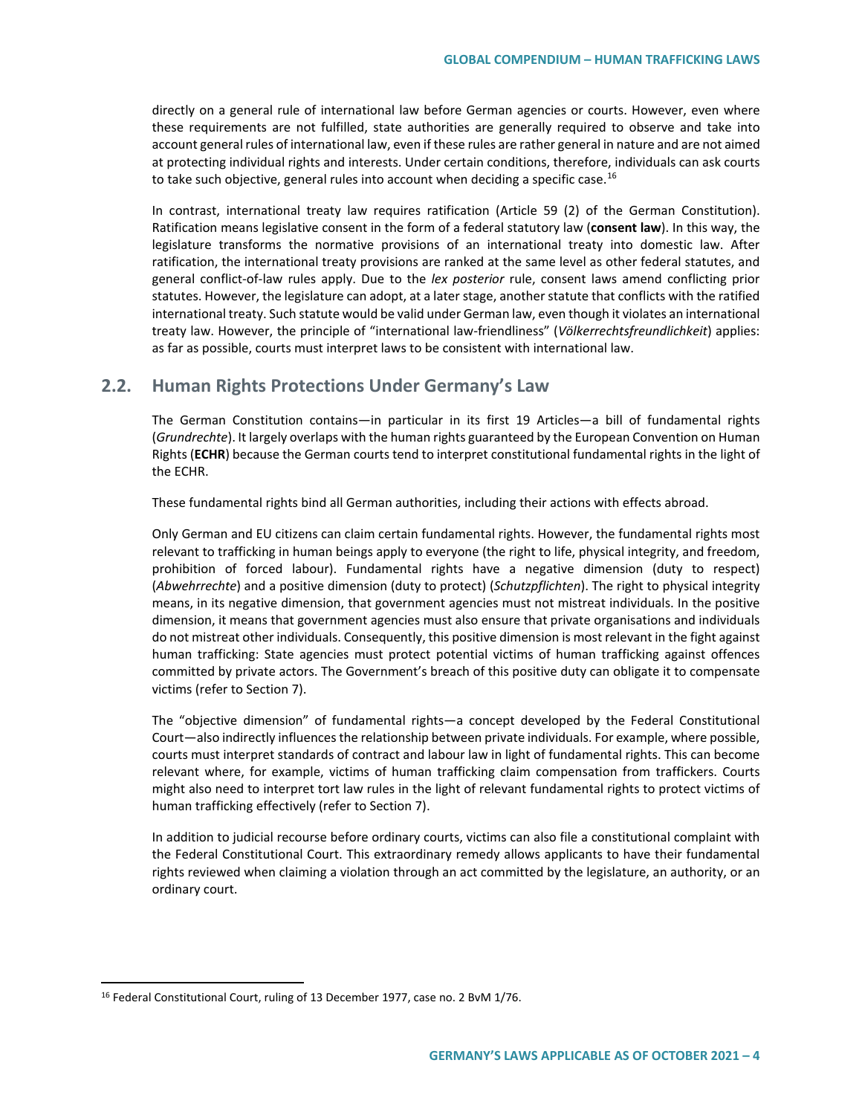directly on a general rule of international law before German agencies or courts. However, even where these requirements are not fulfilled, state authorities are generally required to observe and take into account general rules of international law, even if these rules are rather general in nature and are not aimed at protecting individual rights and interests. Under certain conditions, therefore, individuals can ask courts to take such objective, general rules into account when deciding a specific case.<sup>[16](#page-3-0)</sup>

In contrast, international treaty law requires ratification (Article 59 (2) of the German Constitution). Ratification means legislative consent in the form of a federal statutory law (**consent law**). In this way, the legislature transforms the normative provisions of an international treaty into domestic law. After ratification, the international treaty provisions are ranked at the same level as other federal statutes, and general conflict-of-law rules apply. Due to the *lex posterior* rule, consent laws amend conflicting prior statutes. However, the legislature can adopt, at a later stage, another statute that conflicts with the ratified international treaty. Such statute would be valid under German law, even though it violates an international treaty law. However, the principle of "international law-friendliness" (*Völkerrechtsfreundlichkeit*) applies: as far as possible, courts must interpret laws to be consistent with international law.

# **2.2. Human Rights Protections Under Germany's Law**

The German Constitution contains—in particular in its first 19 Articles—a bill of fundamental rights (*Grundrechte*). It largely overlaps with the human rights guaranteed by the European Convention on Human Rights (**ECHR**) because the German courts tend to interpret constitutional fundamental rights in the light of the ECHR.

These fundamental rights bind all German authorities, including their actions with effects abroad.

Only German and EU citizens can claim certain fundamental rights. However, the fundamental rights most relevant to trafficking in human beings apply to everyone (the right to life, physical integrity, and freedom, prohibition of forced labour). Fundamental rights have a negative dimension (duty to respect) (*Abwehrrechte*) and a positive dimension (duty to protect) (*Schutzpflichten*). The right to physical integrity means, in its negative dimension, that government agencies must not mistreat individuals. In the positive dimension, it means that government agencies must also ensure that private organisations and individuals do not mistreat other individuals. Consequently, this positive dimension is most relevant in the fight against human trafficking: State agencies must protect potential victims of human trafficking against offences committed by private actors. The Government's breach of this positive duty can obligate it to compensate victims (refer to Section 7).

The "objective dimension" of fundamental rights—a concept developed by the Federal Constitutional Court—also indirectly influences the relationship between private individuals. For example, where possible, courts must interpret standards of contract and labour law in light of fundamental rights. This can become relevant where, for example, victims of human trafficking claim compensation from traffickers. Courts might also need to interpret tort law rules in the light of relevant fundamental rights to protect victims of human trafficking effectively (refer to Section 7).

In addition to judicial recourse before ordinary courts, victims can also file a constitutional complaint with the Federal Constitutional Court. This extraordinary remedy allows applicants to have their fundamental rights reviewed when claiming a violation through an act committed by the legislature, an authority, or an ordinary court.

<span id="page-3-0"></span><sup>&</sup>lt;sup>16</sup> Federal Constitutional Court, ruling of 13 December 1977, case no. 2 BvM 1/76.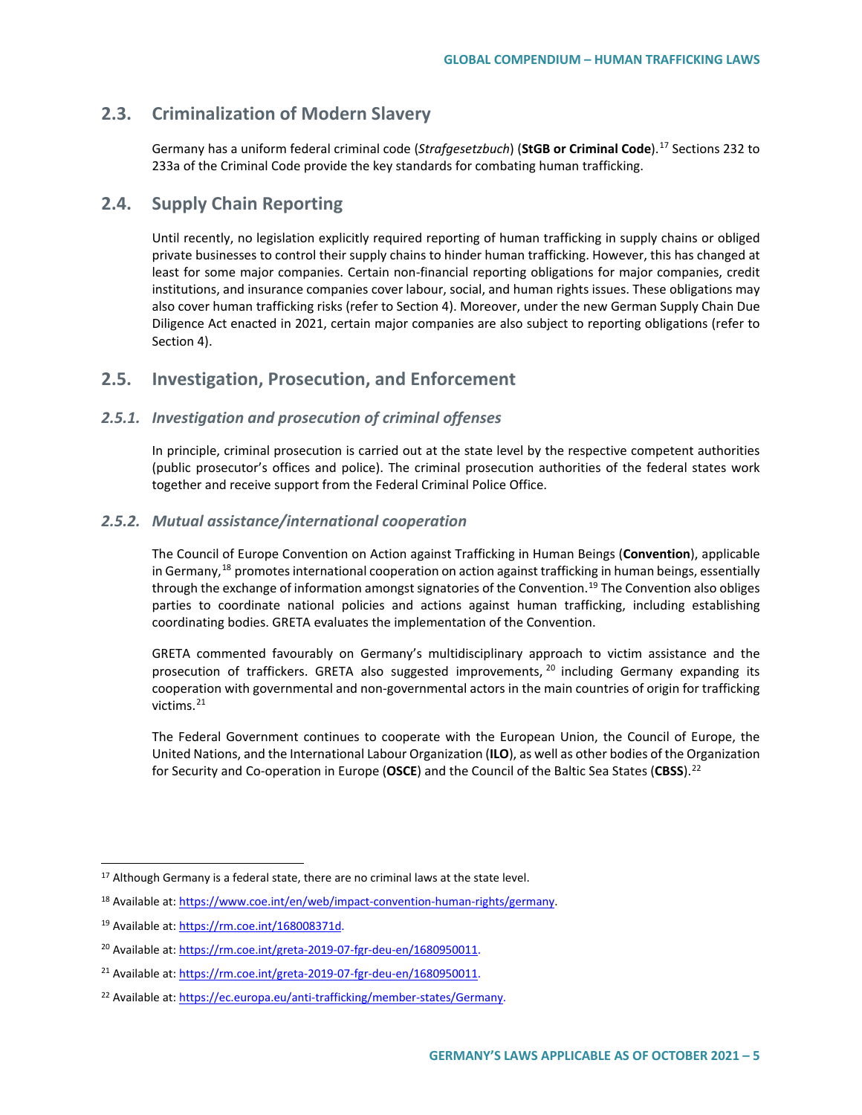# **2.3. Criminalization of Modern Slavery**

Germany has a uniform federal criminal code (*Strafgesetzbuch*) (**StGB or Criminal Code**). [17](#page-4-0) Sections 232 to 233a of the Criminal Code provide the key standards for combating human trafficking.

# **2.4. Supply Chain Reporting**

Until recently, no legislation explicitly required reporting of human trafficking in supply chains or obliged private businesses to control their supply chains to hinder human trafficking. However, this has changed at least for some major companies. Certain non-financial reporting obligations for major companies, credit institutions, and insurance companies cover labour, social, and human rights issues. These obligations may also cover human trafficking risks (refer to Section 4). Moreover, under the new German Supply Chain Due Diligence Act enacted in 2021, certain major companies are also subject to reporting obligations (refer to Section 4).

# **2.5. Investigation, Prosecution, and Enforcement**

### *2.5.1. Investigation and prosecution of criminal offenses*

In principle, criminal prosecution is carried out at the state level by the respective competent authorities (public prosecutor's offices and police). The criminal prosecution authorities of the federal states work together and receive support from the Federal Criminal Police Office.

### *2.5.2. Mutual assistance/international cooperation*

The Council of Europe Convention on Action against Trafficking in Human Beings (**Convention**), applicable in Germany,<sup>[18](#page-4-1)</sup> promotes international cooperation on action against trafficking in human beings, essentially through the exchange of information amongst signatories of the Convention.<sup>[19](#page-4-2)</sup> The Convention also obliges parties to coordinate national policies and actions against human trafficking, including establishing coordinating bodies. GRETA evaluates the implementation of the Convention.

GRETA commented favourably on Germany's multidisciplinary approach to victim assistance and the prosecution of traffickers. GRETA also suggested improvements, <sup>[20](#page-4-3)</sup> including Germany expanding its cooperation with governmental and non-governmental actors in the main countries of origin for trafficking victims.<sup>[21](#page-4-4)</sup>

The Federal Government continues to cooperate with the European Union, the Council of Europe, the United Nations, and the International Labour Organization (**ILO**), as well as other bodies of the Organization for Security and Co-operation in Europe (**OSCE**) and the Council of the Baltic Sea States (**CBSS**).[22](#page-4-5)

<span id="page-4-0"></span><sup>&</sup>lt;sup>17</sup> Although Germany is a federal state, there are no criminal laws at the state level.

<span id="page-4-1"></span><sup>18</sup> Available at[: https://www.coe.int/en/web/impact-convention-human-rights/germany.](https://www.coe.int/en/web/impact-convention-human-rights/germany)

<span id="page-4-2"></span><sup>19</sup> Available at[: https://rm.coe.int/168008371d.](https://rm.coe.int/168008371d)

<span id="page-4-3"></span><sup>&</sup>lt;sup>20</sup> Available at[: https://rm.coe.int/greta-2019-07-fgr-deu-en/1680950011.](https://rm.coe.int/greta-2019-07-fgr-deu-en/1680950011)

<span id="page-4-4"></span><sup>&</sup>lt;sup>21</sup> Available at[: https://rm.coe.int/greta-2019-07-fgr-deu-en/1680950011.](https://rm.coe.int/greta-2019-07-fgr-deu-en/1680950011)

<span id="page-4-5"></span><sup>&</sup>lt;sup>22</sup> Available at[: https://ec.europa.eu/anti-trafficking/member-states/Germany.](https://ec.europa.eu/anti-trafficking/member-states/Germany)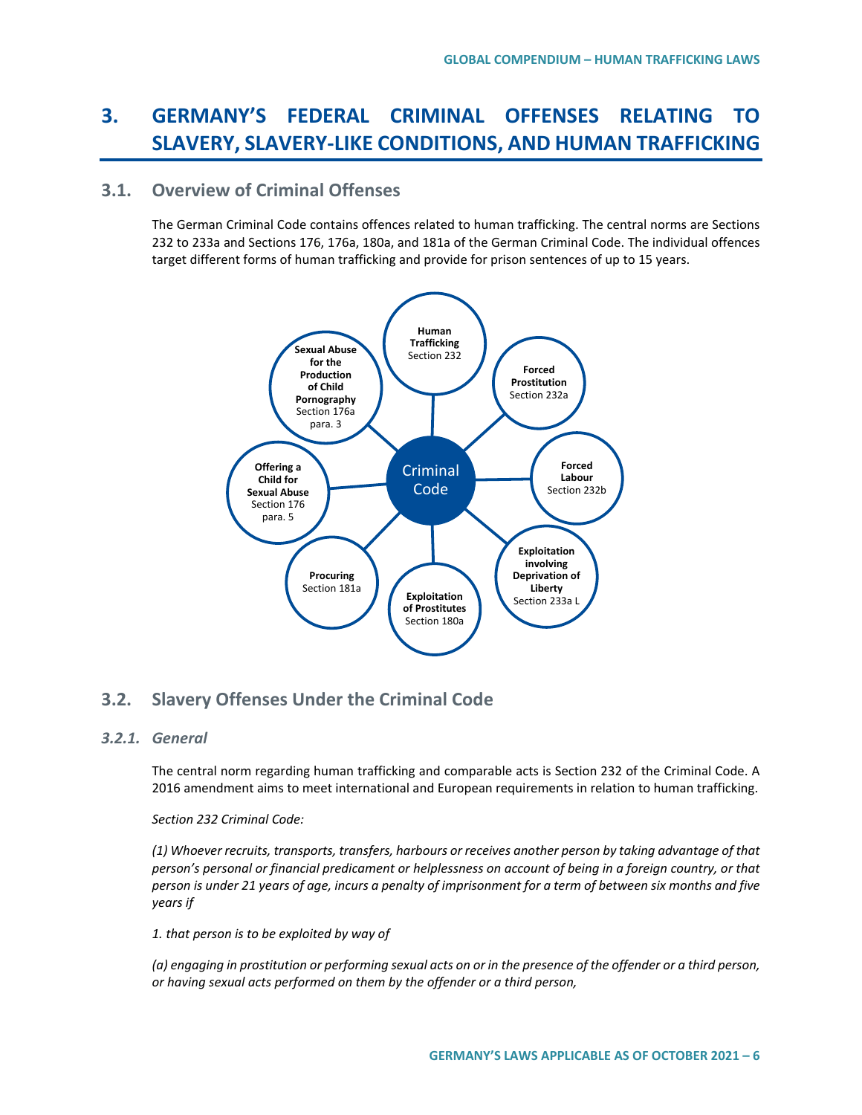# **3. GERMANY'S FEDERAL CRIMINAL OFFENSES RELATING TO SLAVERY, SLAVERY-LIKE CONDITIONS, AND HUMAN TRAFFICKING**

# **3.1. Overview of Criminal Offenses**

The German Criminal Code contains offences related to human trafficking. The central norms are Sections 232 to 233a and Sections 176, 176a, 180a, and 181a of the German Criminal Code. The individual offences target different forms of human trafficking and provide for prison sentences of up to 15 years.



# **3.2. Slavery Offenses Under the Criminal Code**

## *3.2.1. General*

The central norm regarding human trafficking and comparable acts is Section 232 of the Criminal Code. A 2016 amendment aims to meet international and European requirements in relation to human trafficking.

### *Section 232 Criminal Code:*

*(1) Whoever recruits, transports, transfers, harbours or receives another person by taking advantage of that person's personal or financial predicament or helplessness on account of being in a foreign country, or that person is under 21 years of age, incurs a penalty of imprisonment for a term of between six months and five years if* 

*1. that person is to be exploited by way of*

*(a) engaging in prostitution or performing sexual acts on or in the presence of the offender or a third person, or having sexual acts performed on them by the offender or a third person,*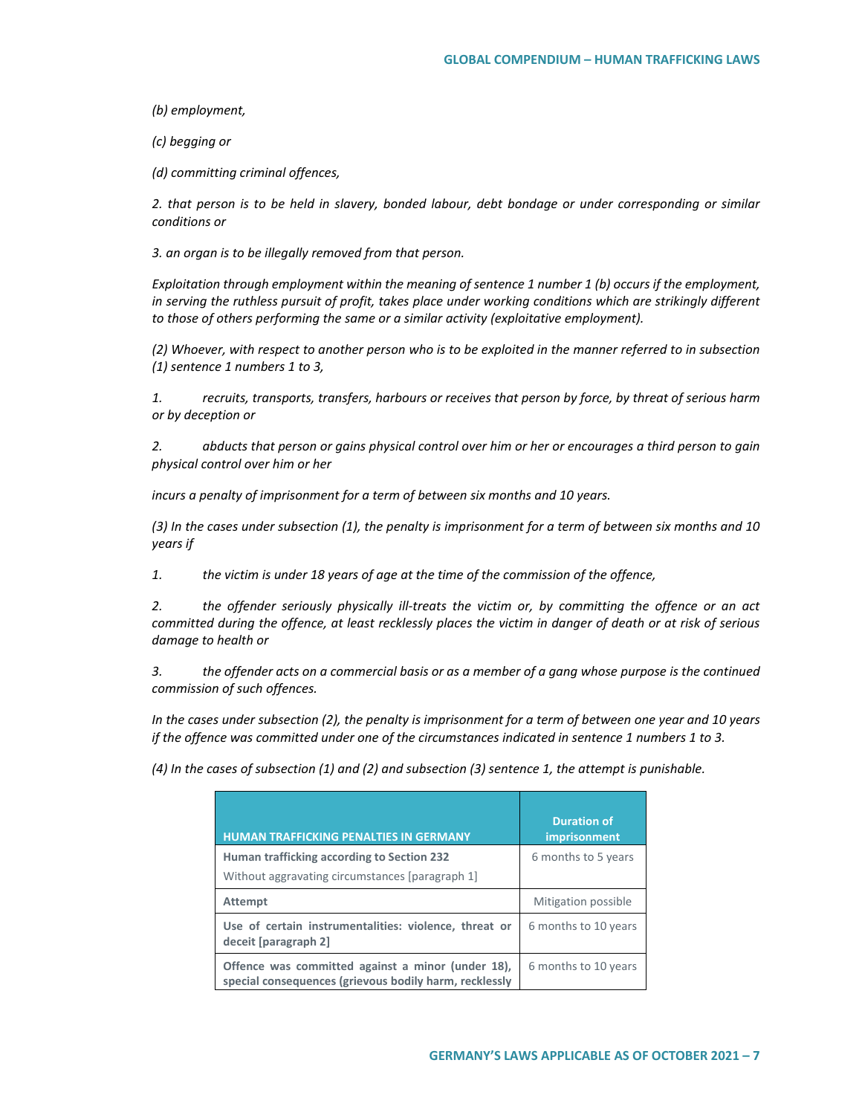*(b) employment,*

*(c) begging or*

*(d) committing criminal offences,*

*2. that person is to be held in slavery, bonded labour, debt bondage or under corresponding or similar conditions or*

*3. an organ is to be illegally removed from that person.*

*Exploitation through employment within the meaning of sentence 1 number 1 (b) occurs if the employment, in serving the ruthless pursuit of profit, takes place under working conditions which are strikingly different to those of others performing the same or a similar activity (exploitative employment).* 

*(2) Whoever, with respect to another person who is to be exploited in the manner referred to in subsection (1) sentence 1 numbers 1 to 3,* 

*1. recruits, transports, transfers, harbours or receives that person by force, by threat of serious harm or by deception or*

*2. abducts that person or gains physical control over him or her or encourages a third person to gain physical control over him or her*

*incurs a penalty of imprisonment for a term of between six months and 10 years.*

*(3) In the cases under subsection (1), the penalty is imprisonment for a term of between six months and 10 years if* 

*1. the victim is under 18 years of age at the time of the commission of the offence,*

*2. the offender seriously physically ill-treats the victim or, by committing the offence or an act committed during the offence, at least recklessly places the victim in danger of death or at risk of serious damage to health or*

*3. the offender acts on a commercial basis or as a member of a gang whose purpose is the continued commission of such offences.*

*In the cases under subsection (2), the penalty is imprisonment for a term of between one year and 10 years if the offence was committed under one of the circumstances indicated in sentence 1 numbers 1 to 3.* 

*(4) In the cases of subsection (1) and (2) and subsection (3) sentence 1, the attempt is punishable.*

| <b>HUMAN TRAFFICKING PENALTIES IN GERMANY</b>                                                               | <b>Duration of</b><br><i>imprisonment</i> |
|-------------------------------------------------------------------------------------------------------------|-------------------------------------------|
| Human trafficking according to Section 232                                                                  | 6 months to 5 years                       |
| Without aggravating circumstances [paragraph 1]                                                             |                                           |
| <b>Attempt</b>                                                                                              | Mitigation possible                       |
| Use of certain instrumentalities: violence, threat or<br>deceit [paragraph 2]                               | 6 months to 10 years                      |
| Offence was committed against a minor (under 18),<br>special consequences (grievous bodily harm, recklessly | 6 months to 10 years                      |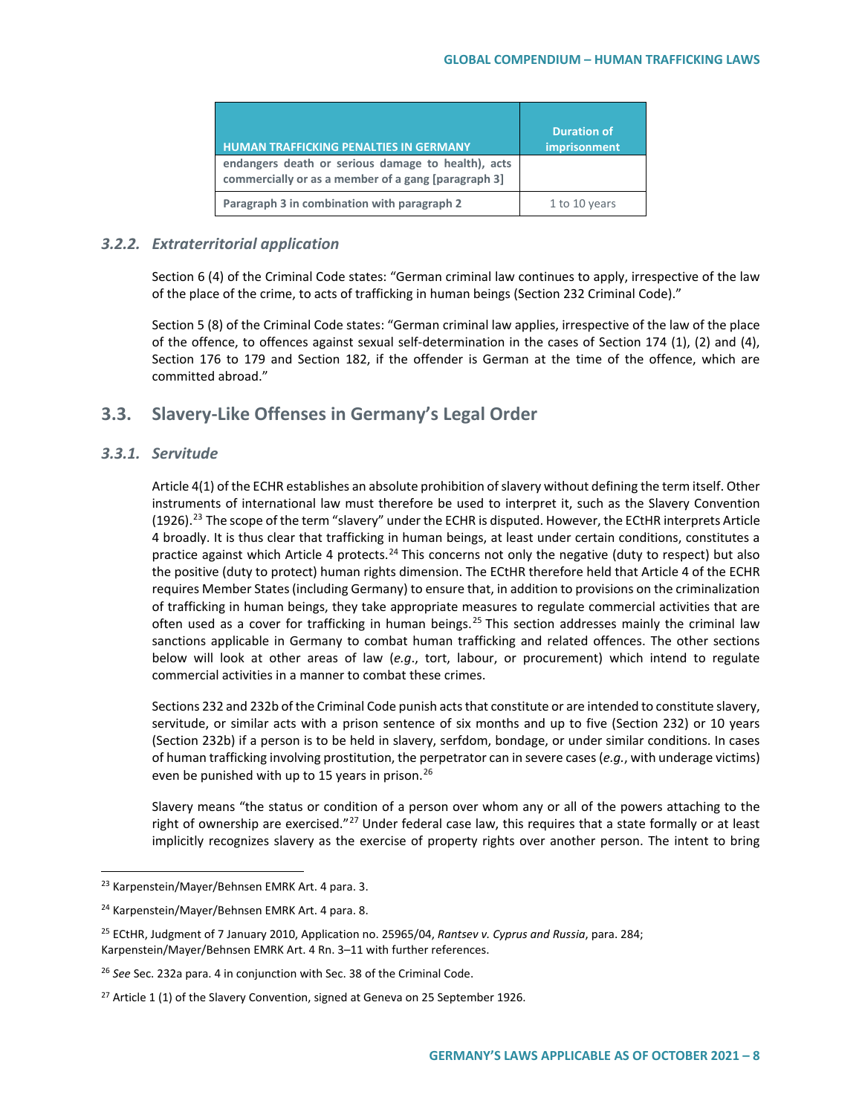| <b>HUMAN TRAFFICKING PENALTIES IN GERMANY</b>                                                             | <b>Duration of</b><br><i>imprisonment</i> |
|-----------------------------------------------------------------------------------------------------------|-------------------------------------------|
| endangers death or serious damage to health), acts<br>commercially or as a member of a gang [paragraph 3] |                                           |
| Paragraph 3 in combination with paragraph 2                                                               | 1 to 10 years                             |

# *3.2.2. Extraterritorial application*

Section 6 (4) of the Criminal Code states: "German criminal law continues to apply, irrespective of the law of the place of the crime, to acts of trafficking in human beings (Section 232 Criminal Code)."

Section 5 (8) of the Criminal Code states: "German criminal law applies, irrespective of the law of the place of the offence, to offences against sexual self-determination in the cases of Section 174 (1), (2) and (4), Section 176 to 179 and Section 182, if the offender is German at the time of the offence, which are committed abroad."

# **3.3. Slavery-Like Offenses in Germany's Legal Order**

# *3.3.1. Servitude*

Article 4(1) of the ECHR establishes an absolute prohibition of slavery without defining the term itself. Other instruments of international law must therefore be used to interpret it, such as the Slavery Convention  $(1926).$ <sup>[23](#page-7-0)</sup> The scope of the term "slavery" under the ECHR is disputed. However, the ECtHR interprets Article 4 broadly. It is thus clear that trafficking in human beings, at least under certain conditions, constitutes a practice against which Article 4 protects.<sup>24</sup> This concerns not only the negative (duty to respect) but also the positive (duty to protect) human rights dimension. The ECtHR therefore held that Article 4 of the ECHR requires Member States (including Germany) to ensure that, in addition to provisions on the criminalization of trafficking in human beings, they take appropriate measures to regulate commercial activities that are often used as a cover for trafficking in human beings.<sup>[25](#page-7-2)</sup> This section addresses mainly the criminal law sanctions applicable in Germany to combat human trafficking and related offences. The other sections below will look at other areas of law (*e.g*., tort, labour, or procurement) which intend to regulate commercial activities in a manner to combat these crimes.

Sections 232 and 232b of the Criminal Code punish acts that constitute or are intended to constitute slavery, servitude, or similar acts with a prison sentence of six months and up to five (Section 232) or 10 years (Section 232b) if a person is to be held in slavery, serfdom, bondage, or under similar conditions. In cases of human trafficking involving prostitution, the perpetrator can in severe cases (*e.g.*, with underage victims) even be punished with up to 15 years in prison.<sup>[26](#page-7-3)</sup>

Slavery means "the status or condition of a person over whom any or all of the powers attaching to the right of ownership are exercised."<sup>[27](#page-7-4)</sup> Under federal case law, this requires that a state formally or at least implicitly recognizes slavery as the exercise of property rights over another person. The intent to bring

<span id="page-7-0"></span><sup>&</sup>lt;sup>23</sup> Karpenstein/Mayer/Behnsen EMRK Art. 4 para. 3.

<span id="page-7-1"></span><sup>&</sup>lt;sup>24</sup> Karpenstein/Mayer/Behnsen EMRK Art. 4 para. 8.

<span id="page-7-2"></span><sup>25</sup> ECtHR, Judgment of 7 January 2010, Application no. 25965/04, *Rantsev v. Cyprus and Russia*, para. 284; Karpenstein/Mayer/Behnsen EMRK Art. 4 Rn. 3–11 with further references.

<span id="page-7-3"></span><sup>26</sup> *See* Sec. 232a para. 4 in conjunction with Sec. 38 of the Criminal Code.

<span id="page-7-4"></span> $27$  Article 1 (1) of the Slavery Convention, signed at Geneva on 25 September 1926.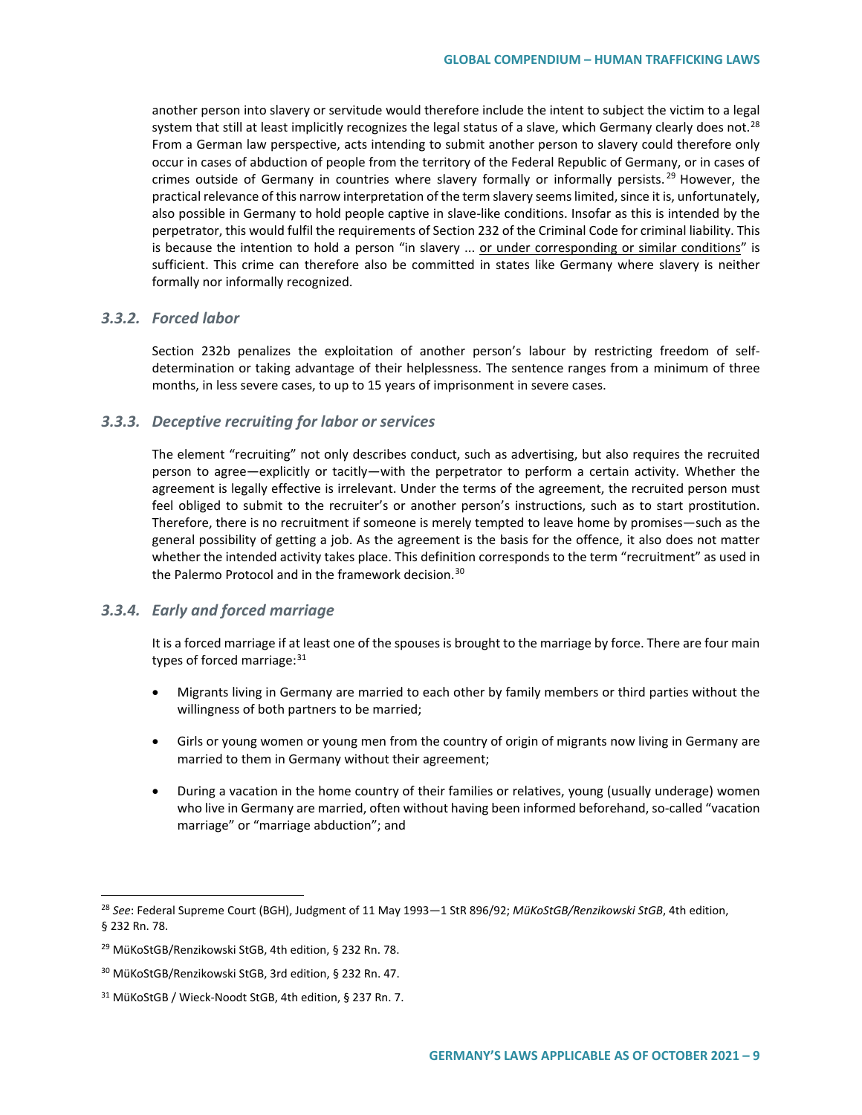another person into slavery or servitude would therefore include the intent to subject the victim to a legal system that still at least implicitly recognizes the legal status of a slave, which Germany clearly does not.<sup>28</sup> From a German law perspective, acts intending to submit another person to slavery could therefore only occur in cases of abduction of people from the territory of the Federal Republic of Germany, or in cases of crimes outside of Germany in countries where slavery formally or informally persists.<sup>[29](#page-8-1)</sup> However, the practical relevance of this narrow interpretation of the term slavery seems limited, since it is, unfortunately, also possible in Germany to hold people captive in slave-like conditions. Insofar as this is intended by the perpetrator, this would fulfil the requirements of Section 232 of the Criminal Code for criminal liability. This is because the intention to hold a person "in slavery ... or under corresponding or similar conditions" is sufficient. This crime can therefore also be committed in states like Germany where slavery is neither formally nor informally recognized.

### *3.3.2. Forced labor*

Section 232b penalizes the exploitation of another person's labour by restricting freedom of selfdetermination or taking advantage of their helplessness. The sentence ranges from a minimum of three months, in less severe cases, to up to 15 years of imprisonment in severe cases.

### *3.3.3. Deceptive recruiting for labor or services*

The element "recruiting" not only describes conduct, such as advertising, but also requires the recruited person to agree—explicitly or tacitly—with the perpetrator to perform a certain activity. Whether the agreement is legally effective is irrelevant. Under the terms of the agreement, the recruited person must feel obliged to submit to the recruiter's or another person's instructions, such as to start prostitution. Therefore, there is no recruitment if someone is merely tempted to leave home by promises—such as the general possibility of getting a job. As the agreement is the basis for the offence, it also does not matter whether the intended activity takes place. This definition corresponds to the term "recruitment" as used in the Palermo Protocol and in the framework decision.<sup>[30](#page-8-2)</sup>

### *3.3.4. Early and forced marriage*

It is a forced marriage if at least one of the spouses is brought to the marriage by force. There are four main types of forced marriage: $31$ 

- Migrants living in Germany are married to each other by family members or third parties without the willingness of both partners to be married;
- Girls or young women or young men from the country of origin of migrants now living in Germany are married to them in Germany without their agreement;
- During a vacation in the home country of their families or relatives, young (usually underage) women who live in Germany are married, often without having been informed beforehand, so-called "vacation marriage" or "marriage abduction"; and

<span id="page-8-0"></span> <sup>28</sup> *See*: Federal Supreme Court (BGH), Judgment of 11 May 1993—1 StR 896/92; *MüKoStGB/Renzikowski StGB*, 4th edition, § 232 Rn. 78.

<span id="page-8-1"></span><sup>29</sup> MüKoStGB/Renzikowski StGB, 4th edition, § 232 Rn. 78.

<span id="page-8-2"></span><sup>30</sup> MüKoStGB/Renzikowski StGB, 3rd edition, § 232 Rn. 47.

<span id="page-8-3"></span><sup>31</sup> MüKoStGB / Wieck-Noodt StGB, 4th edition, § 237 Rn. 7.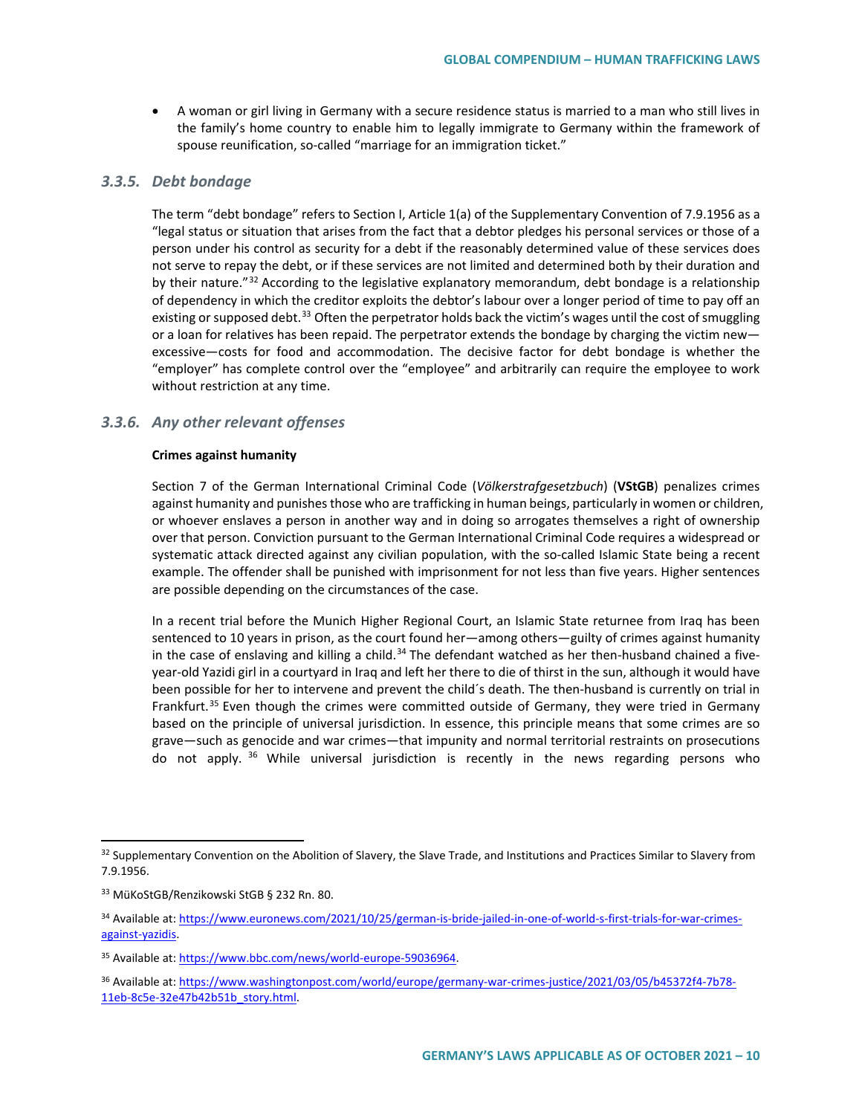• A woman or girl living in Germany with a secure residence status is married to a man who still lives in the family's home country to enable him to legally immigrate to Germany within the framework of spouse reunification, so-called "marriage for an immigration ticket."

### *3.3.5. Debt bondage*

The term "debt bondage" refers to Section I, Article 1(a) of the Supplementary Convention of 7.9.1956 as a "legal status or situation that arises from the fact that a debtor pledges his personal services or those of a person under his control as security for a debt if the reasonably determined value of these services does not serve to repay the debt, or if these services are not limited and determined both by their duration and by their nature."[32](#page-9-0) According to the legislative explanatory memorandum, debt bondage is a relationship of dependency in which the creditor exploits the debtor's labour over a longer period of time to pay off an existing or supposed debt.<sup>33</sup> Often the perpetrator holds back the victim's wages until the cost of smuggling or a loan for relatives has been repaid. The perpetrator extends the bondage by charging the victim new excessive—costs for food and accommodation. The decisive factor for debt bondage is whether the "employer" has complete control over the "employee" and arbitrarily can require the employee to work without restriction at any time.

### *3.3.6. Any other relevant offenses*

#### **Crimes against humanity**

Section 7 of the German International Criminal Code (*Völkerstrafgesetzbuch*) (**VStGB**) penalizes crimes against humanity and punishes those who are trafficking in human beings, particularly in women or children, or whoever enslaves a person in another way and in doing so arrogates themselves a right of ownership over that person. Conviction pursuant to the German International Criminal Code requires a widespread or systematic attack directed against any civilian population, with the so-called Islamic State being a recent example. The offender shall be punished with imprisonment for not less than five years. Higher sentences are possible depending on the circumstances of the case.

In a recent trial before the Munich Higher Regional Court, an Islamic State returnee from Iraq has been sentenced to 10 years in prison, as the court found her—among others—guilty of crimes against humanity in the case of enslaving and killing a child.<sup>[34](#page-9-2)</sup> The defendant watched as her then-husband chained a fiveyear-old Yazidi girl in a courtyard in Iraq and left her there to die of thirst in the sun, although it would have been possible for her to intervene and prevent the child´s death. The then-husband is currently on trial in Frankfurt.[35](#page-9-3) Even though the crimes were committed outside of Germany, they were tried in Germany based on the principle of universal jurisdiction. In essence, this principle means that some crimes are so grave—such as genocide and war crimes—that impunity and normal territorial restraints on prosecutions do not apply.  $36$  While universal jurisdiction is recently in the news regarding persons who

<span id="page-9-0"></span><sup>&</sup>lt;sup>32</sup> Supplementary Convention on the Abolition of Slavery, the Slave Trade, and Institutions and Practices Similar to Slavery from 7.9.1956.

<span id="page-9-1"></span><sup>33</sup> MüKoStGB/Renzikowski StGB § 232 Rn. 80.

<span id="page-9-2"></span><sup>34</sup> Available at[: https://www.euronews.com/2021/10/25/german-is-bride-jailed-in-one-of-world-s-first-trials-for-war-crimes](https://www.euronews.com/2021/10/25/german-is-bride-jailed-in-one-of-world-s-first-trials-for-war-crimes-against-yazidis)[against-yazidis.](https://www.euronews.com/2021/10/25/german-is-bride-jailed-in-one-of-world-s-first-trials-for-war-crimes-against-yazidis) 

<span id="page-9-3"></span><sup>35</sup> Available at[: https://www.bbc.com/news/world-europe-59036964.](https://www.bbc.com/news/world-europe-59036964)

<span id="page-9-4"></span><sup>36</sup> Available at[: https://www.washingtonpost.com/world/europe/germany-war-crimes-justice/2021/03/05/b45372f4-7b78-](https://www.washingtonpost.com/world/europe/germany-war-crimes-justice/2021/03/05/b45372f4-7b78-11eb-8c5e-32e47b42b51b_story.html) [11eb-8c5e-32e47b42b51b\\_story.html.](https://www.washingtonpost.com/world/europe/germany-war-crimes-justice/2021/03/05/b45372f4-7b78-11eb-8c5e-32e47b42b51b_story.html)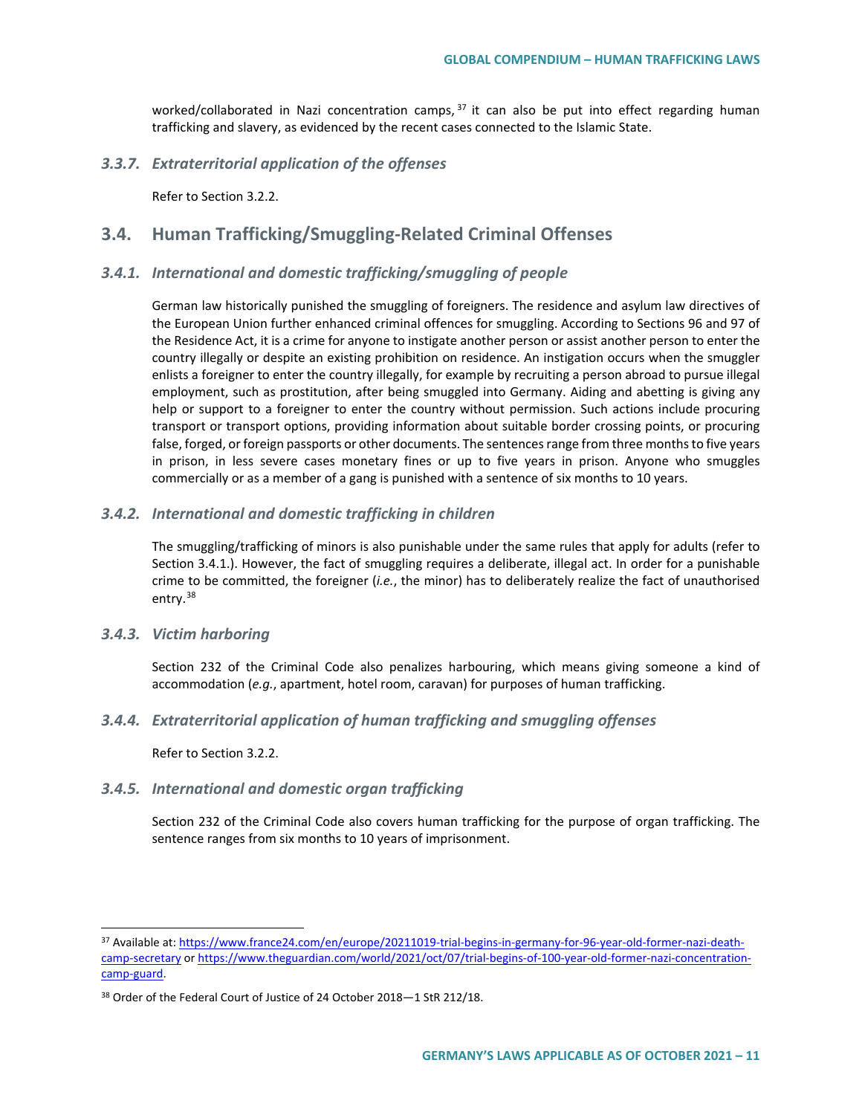worked/collaborated in Nazi concentration camps, <sup>[37](#page-10-0)</sup> it can also be put into effect regarding human trafficking and slavery, as evidenced by the recent cases connected to the Islamic State.

### *3.3.7. Extraterritorial application of the offenses*

Refer to Section 3.2.2.

# **3.4. Human Trafficking/Smuggling-Related Criminal Offenses**

### *3.4.1. International and domestic trafficking/smuggling of people*

German law historically punished the smuggling of foreigners. The residence and asylum law directives of the European Union further enhanced criminal offences for smuggling. According to Sections 96 and 97 of the Residence Act, it is a crime for anyone to instigate another person or assist another person to enter the country illegally or despite an existing prohibition on residence. An instigation occurs when the smuggler enlists a foreigner to enter the country illegally, for example by recruiting a person abroad to pursue illegal employment, such as prostitution, after being smuggled into Germany. Aiding and abetting is giving any help or support to a foreigner to enter the country without permission. Such actions include procuring transport or transport options, providing information about suitable border crossing points, or procuring false, forged, or foreign passports or other documents. The sentences range from three months to five years in prison, in less severe cases monetary fines or up to five years in prison. Anyone who smuggles commercially or as a member of a gang is punished with a sentence of six months to 10 years.

### *3.4.2. International and domestic trafficking in children*

The smuggling/trafficking of minors is also punishable under the same rules that apply for adults (refer to Section 3.4.1.). However, the fact of smuggling requires a deliberate, illegal act. In order for a punishable crime to be committed, the foreigner (*i.e.*, the minor) has to deliberately realize the fact of unauthorised entry.[38](#page-10-1)

### *3.4.3. Victim harboring*

Section 232 of the Criminal Code also penalizes harbouring, which means giving someone a kind of accommodation (*e.g.*, apartment, hotel room, caravan) for purposes of human trafficking.

### *3.4.4. Extraterritorial application of human trafficking and smuggling offenses*

Refer to Section 3.2.2.

### *3.4.5. International and domestic organ trafficking*

Section 232 of the Criminal Code also covers human trafficking for the purpose of organ trafficking. The sentence ranges from six months to 10 years of imprisonment.

<span id="page-10-0"></span> <sup>37</sup> Available at[: https://www.france24.com/en/europe/20211019-trial-begins-in-germany-for-96-year-old-former-nazi-death](https://www.france24.com/en/europe/20211019-trial-begins-in-germany-for-96-year-old-former-nazi-death-camp-secretary)[camp-secretary](https://www.france24.com/en/europe/20211019-trial-begins-in-germany-for-96-year-old-former-nazi-death-camp-secretary) o[r https://www.theguardian.com/world/2021/oct/07/trial-begins-of-100-year-old-former-nazi-concentration](https://www.theguardian.com/world/2021/oct/07/trial-begins-of-100-year-old-former-nazi-concentration-camp-guard)[camp-guard.](https://www.theguardian.com/world/2021/oct/07/trial-begins-of-100-year-old-former-nazi-concentration-camp-guard)

<span id="page-10-1"></span><sup>38</sup> Order of the Federal Court of Justice of 24 October 2018—1 StR 212/18.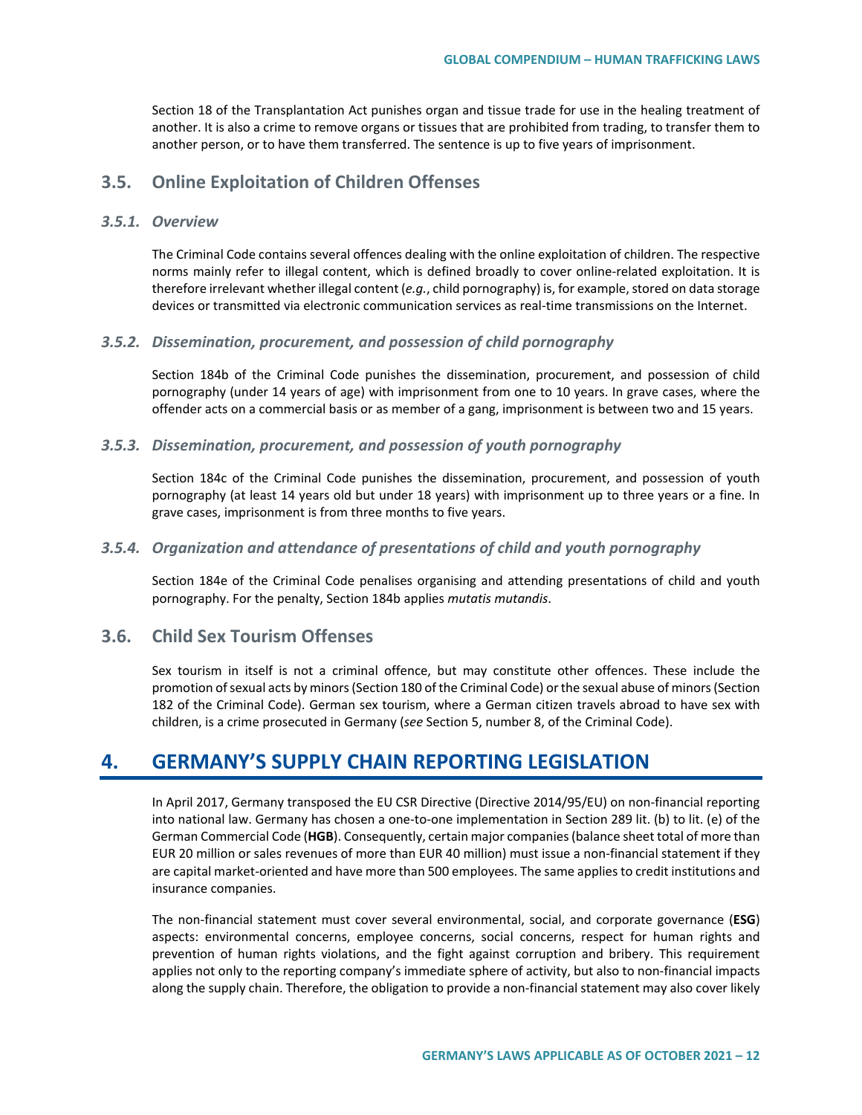Section 18 of the Transplantation Act punishes organ and tissue trade for use in the healing treatment of another. It is also a crime to remove organs or tissues that are prohibited from trading, to transfer them to another person, or to have them transferred. The sentence is up to five years of imprisonment.

# **3.5. Online Exploitation of Children Offenses**

### *3.5.1. Overview*

The Criminal Code contains several offences dealing with the online exploitation of children. The respective norms mainly refer to illegal content, which is defined broadly to cover online-related exploitation. It is therefore irrelevant whether illegal content (*e.g.*, child pornography) is, for example, stored on data storage devices or transmitted via electronic communication services as real-time transmissions on the Internet.

### *3.5.2. Dissemination, procurement, and possession of child pornography*

Section 184b of the Criminal Code punishes the dissemination, procurement, and possession of child pornography (under 14 years of age) with imprisonment from one to 10 years. In grave cases, where the offender acts on a commercial basis or as member of a gang, imprisonment is between two and 15 years.

#### *3.5.3. Dissemination, procurement, and possession of youth pornography*

Section 184c of the Criminal Code punishes the dissemination, procurement, and possession of youth pornography (at least 14 years old but under 18 years) with imprisonment up to three years or a fine. In grave cases, imprisonment is from three months to five years.

### *3.5.4. Organization and attendance of presentations of child and youth pornography*

Section 184e of the Criminal Code penalises organising and attending presentations of child and youth pornography. For the penalty, Section 184b applies *mutatis mutandis*.

# **3.6. Child Sex Tourism Offenses**

Sex tourism in itself is not a criminal offence, but may constitute other offences. These include the promotion of sexual acts by minors (Section 180 of the Criminal Code) or the sexual abuse of minors (Section 182 of the Criminal Code). German sex tourism, where a German citizen travels abroad to have sex with children, is a crime prosecuted in Germany (*see* Section 5, number 8, of the Criminal Code).

# **4. GERMANY'S SUPPLY CHAIN REPORTING LEGISLATION**

In April 2017, Germany transposed the EU CSR Directive (Directive 2014/95/EU) on non-financial reporting into national law. Germany has chosen a one-to-one implementation in Section 289 lit. (b) to lit. (e) of the German Commercial Code (**HGB**). Consequently, certain major companies (balance sheet total of more than EUR 20 million or sales revenues of more than EUR 40 million) must issue a non-financial statement if they are capital market-oriented and have more than 500 employees. The same applies to credit institutions and insurance companies.

The non-financial statement must cover several environmental, social, and corporate governance (**ESG**) aspects: environmental concerns, employee concerns, social concerns, respect for human rights and prevention of human rights violations, and the fight against corruption and bribery. This requirement applies not only to the reporting company's immediate sphere of activity, but also to non-financial impacts along the supply chain. Therefore, the obligation to provide a non-financial statement may also cover likely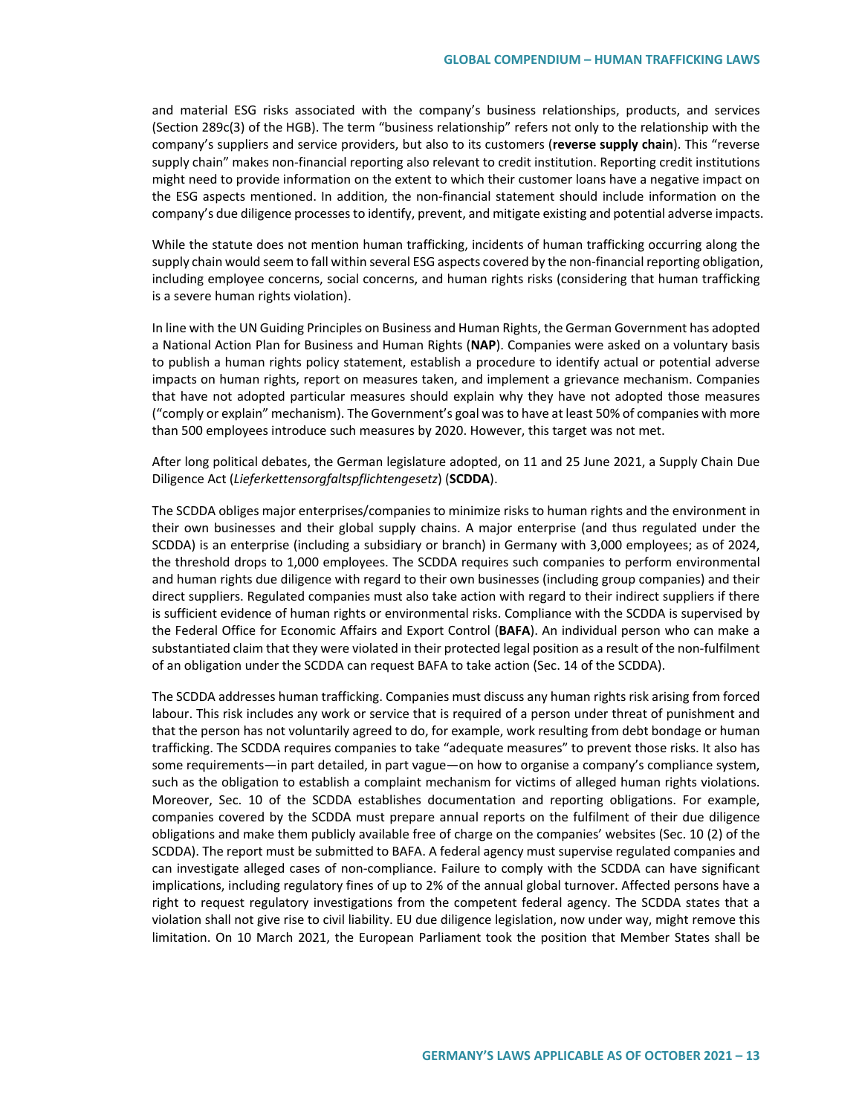and material ESG risks associated with the company's business relationships, products, and services (Section 289c(3) of the HGB). The term "business relationship" refers not only to the relationship with the company's suppliers and service providers, but also to its customers (**reverse supply chain**). This "reverse supply chain" makes non-financial reporting also relevant to credit institution. Reporting credit institutions might need to provide information on the extent to which their customer loans have a negative impact on the ESG aspects mentioned. In addition, the non-financial statement should include information on the company's due diligence processes to identify, prevent, and mitigate existing and potential adverse impacts.

While the statute does not mention human trafficking, incidents of human trafficking occurring along the supply chain would seem to fall within several ESG aspects covered by the non-financial reporting obligation, including employee concerns, social concerns, and human rights risks (considering that human trafficking is a severe human rights violation).

In line with the UN Guiding Principles on Business and Human Rights, the German Government has adopted a National Action Plan for Business and Human Rights (**NAP**). Companies were asked on a voluntary basis to publish a human rights policy statement, establish a procedure to identify actual or potential adverse impacts on human rights, report on measures taken, and implement a grievance mechanism. Companies that have not adopted particular measures should explain why they have not adopted those measures ("comply or explain" mechanism). The Government's goal was to have at least 50% of companies with more than 500 employees introduce such measures by 2020. However, this target was not met.

After long political debates, the German legislature adopted, on 11 and 25 June 2021, a Supply Chain Due Diligence Act (*Lieferkettensorgfaltspflichtengesetz*) (**SCDDA**).

The SCDDA obliges major enterprises/companies to minimize risks to human rights and the environment in their own businesses and their global supply chains. A major enterprise (and thus regulated under the SCDDA) is an enterprise (including a subsidiary or branch) in Germany with 3,000 employees; as of 2024, the threshold drops to 1,000 employees. The SCDDA requires such companies to perform environmental and human rights due diligence with regard to their own businesses (including group companies) and their direct suppliers. Regulated companies must also take action with regard to their indirect suppliers if there is sufficient evidence of human rights or environmental risks. Compliance with the SCDDA is supervised by the Federal Office for Economic Affairs and Export Control (**BAFA**). An individual person who can make a substantiated claim that they were violated in their protected legal position as a result of the non-fulfilment of an obligation under the SCDDA can request BAFA to take action (Sec. 14 of the SCDDA).

The SCDDA addresses human trafficking. Companies must discuss any human rights risk arising from forced labour. This risk includes any work or service that is required of a person under threat of punishment and that the person has not voluntarily agreed to do, for example, work resulting from debt bondage or human trafficking. The SCDDA requires companies to take "adequate measures" to prevent those risks. It also has some requirements—in part detailed, in part vague—on how to organise a company's compliance system, such as the obligation to establish a complaint mechanism for victims of alleged human rights violations. Moreover, Sec. 10 of the SCDDA establishes documentation and reporting obligations. For example, companies covered by the SCDDA must prepare annual reports on the fulfilment of their due diligence obligations and make them publicly available free of charge on the companies' websites (Sec. 10 (2) of the SCDDA). The report must be submitted to BAFA. A federal agency must supervise regulated companies and can investigate alleged cases of non-compliance. Failure to comply with the SCDDA can have significant implications, including regulatory fines of up to 2% of the annual global turnover. Affected persons have a right to request regulatory investigations from the competent federal agency. The SCDDA states that a violation shall not give rise to civil liability. EU due diligence legislation, now under way, might remove this limitation. On 10 March 2021, the European Parliament took the position that Member States shall be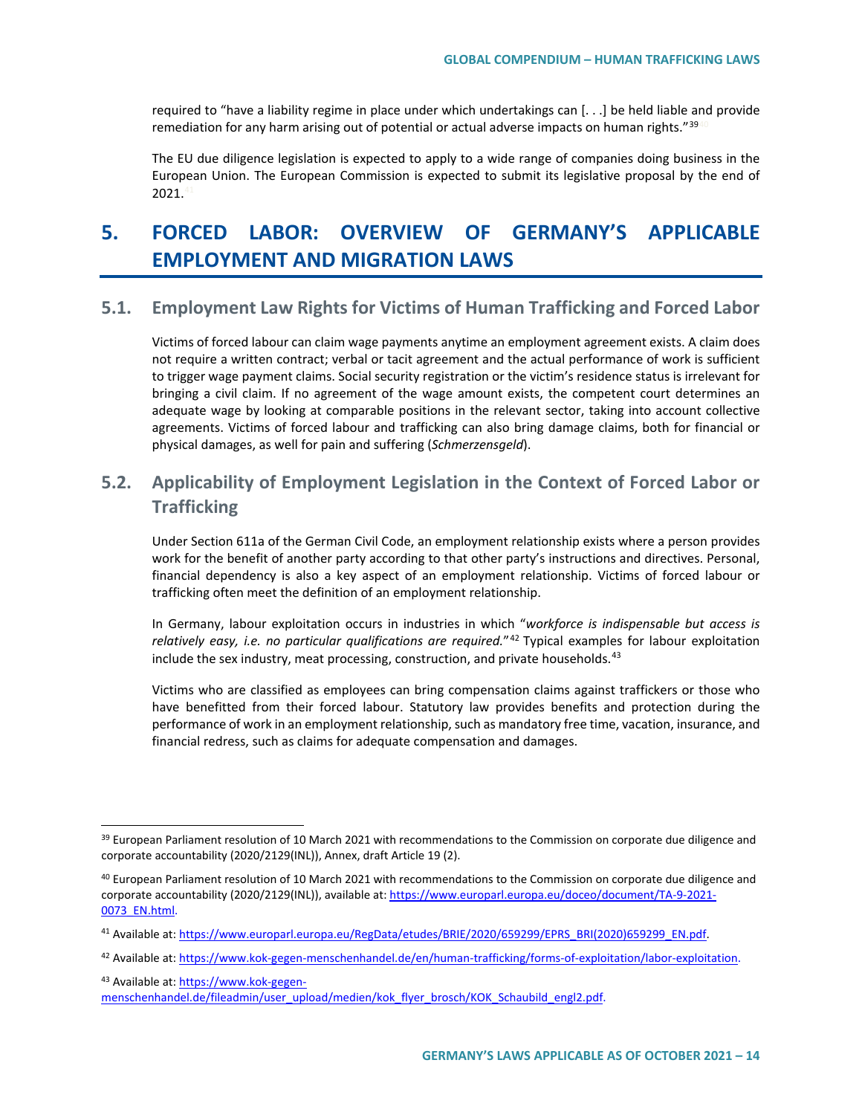required to "have a liability regime in place under which undertakings can [. . .] be held liable and provide remediation for any harm arising out of potential or actual adverse impacts on human rights." $39$ 

The EU due diligence legislation is expected to apply to a wide range of companies doing business in the European Union. The European Commission is expected to submit its legislative proposal by the end of  $2021.4$ 

# **5. FORCED LABOR: OVERVIEW OF GERMANY'S APPLICABLE EMPLOYMENT AND MIGRATION LAWS**

# **5.1. Employment Law Rights for Victims of Human Trafficking and Forced Labor**

Victims of forced labour can claim wage payments anytime an employment agreement exists. A claim does not require a written contract; verbal or tacit agreement and the actual performance of work is sufficient to trigger wage payment claims. Social security registration or the victim's residence status is irrelevant for bringing a civil claim. If no agreement of the wage amount exists, the competent court determines an adequate wage by looking at comparable positions in the relevant sector, taking into account collective agreements. Victims of forced labour and trafficking can also bring damage claims, both for financial or physical damages, as well for pain and suffering (*Schmerzensgeld*).

# **5.2. Applicability of Employment Legislation in the Context of Forced Labor or Trafficking**

Under Section 611a of the German Civil Code, an employment relationship exists where a person provides work for the benefit of another party according to that other party's instructions and directives. Personal, financial dependency is also a key aspect of an employment relationship. Victims of forced labour or trafficking often meet the definition of an employment relationship.

In Germany, labour exploitation occurs in industries in which "*workforce is indispensable but access is relatively easy, i.e. no particular qualifications are required.*"[42](#page-13-3) Typical examples for labour exploitation include the sex industry, meat processing, construction, and private households. $43$ 

Victims who are classified as employees can bring compensation claims against traffickers or those who have benefitted from their forced labour. Statutory law provides benefits and protection during the performance of work in an employment relationship, such as mandatory free time, vacation, insurance, and financial redress, such as claims for adequate compensation and damages.

<span id="page-13-4"></span>43 Available at[: https://www.kok-gegen-](https://www.kok-gegen-menschenhandel.de/fileadmin/user_upload/medien/kok_flyer_brosch/KOK_Schaubild_engl2.pdf)

<span id="page-13-0"></span><sup>&</sup>lt;sup>39</sup> European Parliament resolution of 10 March 2021 with recommendations to the Commission on corporate due diligence and corporate accountability (2020/2129(INL)), Annex, draft Article 19 (2).

<span id="page-13-1"></span> $40$  European Parliament resolution of 10 March 2021 with recommendations to the Commission on corporate due diligence and corporate accountability (2020/2129(INL)), available at: [https://www.europarl.europa.eu/doceo/document/TA-9-2021-](https://www.europarl.europa.eu/doceo/document/TA-9-2021-0073_EN.html) [0073\\_EN.html.](https://www.europarl.europa.eu/doceo/document/TA-9-2021-0073_EN.html)

<span id="page-13-2"></span><sup>41</sup> Available at[: https://www.europarl.europa.eu/RegData/etudes/BRIE/2020/659299/EPRS\\_BRI\(2020\)659299\\_EN.pdf.](https://www.europarl.europa.eu/RegData/etudes/BRIE/2020/659299/EPRS_BRI(2020)659299_EN.pdf)

<span id="page-13-3"></span><sup>42</sup> Available at[: https://www.kok-gegen-menschenhandel.de/en/human-trafficking/forms-of-exploitation/labor-exploitation.](https://www.kok-gegen-menschenhandel.de/en/human-trafficking/forms-of-exploitation/labor-exploitation)

[menschenhandel.de/fileadmin/user\\_upload/medien/kok\\_flyer\\_brosch/KOK\\_Schaubild\\_engl2.pdf.](https://www.kok-gegen-menschenhandel.de/fileadmin/user_upload/medien/kok_flyer_brosch/KOK_Schaubild_engl2.pdf)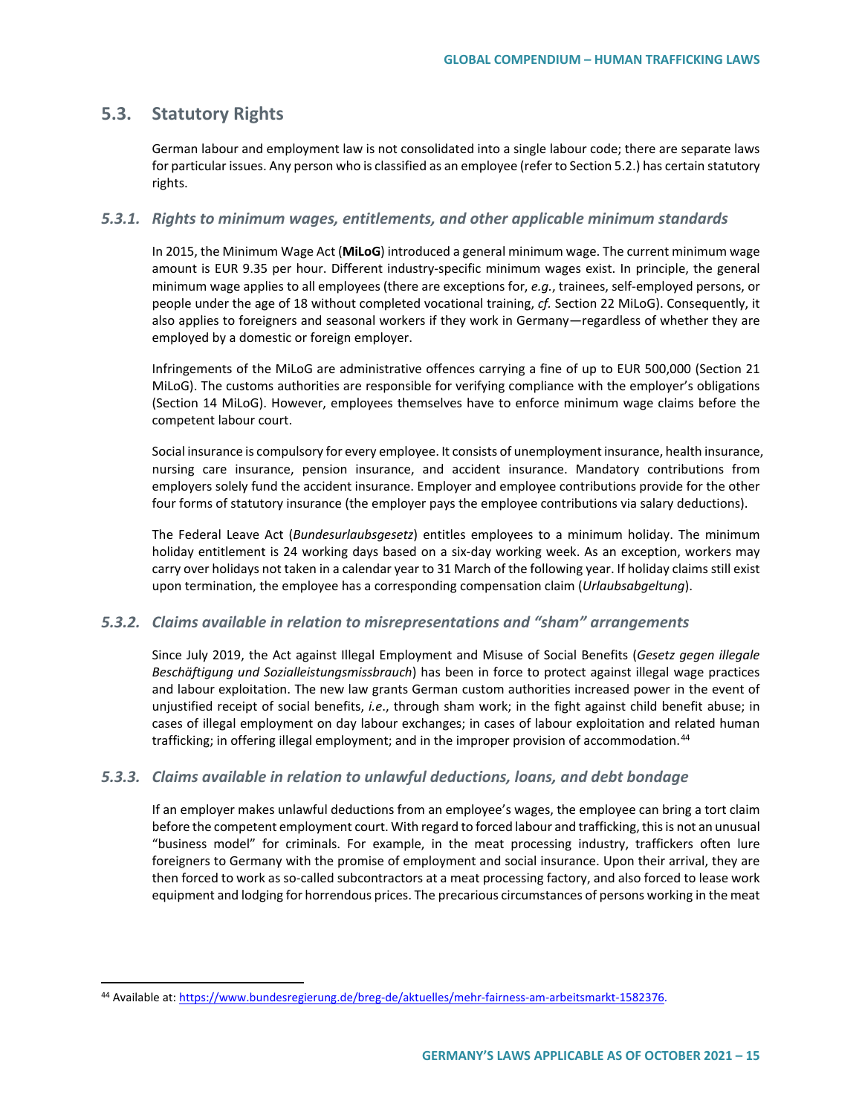# **5.3. Statutory Rights**

German labour and employment law is not consolidated into a single labour code; there are separate laws for particular issues. Any person who is classified as an employee (refer to Section 5.2.) has certain statutory rights.

### *5.3.1. Rights to minimum wages, entitlements, and other applicable minimum standards*

In 2015, the Minimum Wage Act (**MiLoG**) introduced a general minimum wage. The current minimum wage amount is EUR 9.35 per hour. Different industry-specific minimum wages exist. In principle, the general minimum wage applies to all employees (there are exceptions for, *e.g.*, trainees, self-employed persons, or people under the age of 18 without completed vocational training, *cf.* Section 22 MiLoG). Consequently, it also applies to foreigners and seasonal workers if they work in Germany—regardless of whether they are employed by a domestic or foreign employer.

Infringements of the MiLoG are administrative offences carrying a fine of up to EUR 500,000 (Section 21 MiLoG). The customs authorities are responsible for verifying compliance with the employer's obligations (Section 14 MiLoG). However, employees themselves have to enforce minimum wage claims before the competent labour court.

Social insurance is compulsory for every employee. It consists of unemployment insurance, health insurance, nursing care insurance, pension insurance, and accident insurance. Mandatory contributions from employers solely fund the accident insurance. Employer and employee contributions provide for the other four forms of statutory insurance (the employer pays the employee contributions via salary deductions).

The Federal Leave Act (*Bundesurlaubsgesetz*) entitles employees to a minimum holiday. The minimum holiday entitlement is 24 working days based on a six-day working week. As an exception, workers may carry over holidays not taken in a calendar year to 31 March of the following year. If holiday claims still exist upon termination, the employee has a corresponding compensation claim (*Urlaubsabgeltung*).

## *5.3.2. Claims available in relation to misrepresentations and "sham" arrangements*

Since July 2019, the Act against Illegal Employment and Misuse of Social Benefits (*Gesetz gegen illegale Beschäftigung und Sozialleistungsmissbrauch*) has been in force to protect against illegal wage practices and labour exploitation. The new law grants German custom authorities increased power in the event of unjustified receipt of social benefits, *i.e*., through sham work; in the fight against child benefit abuse; in cases of illegal employment on day labour exchanges; in cases of labour exploitation and related human trafficking; in offering illegal employment; and in the improper provision of accommodation.<sup>[44](#page-14-0)</sup>

### *5.3.3. Claims available in relation to unlawful deductions, loans, and debt bondage*

If an employer makes unlawful deductions from an employee's wages, the employee can bring a tort claim before the competent employment court. With regard to forced labour and trafficking, this is not an unusual "business model" for criminals. For example, in the meat processing industry, traffickers often lure foreigners to Germany with the promise of employment and social insurance. Upon their arrival, they are then forced to work as so-called subcontractors at a meat processing factory, and also forced to lease work equipment and lodging for horrendous prices. The precarious circumstances of persons working in the meat

<span id="page-14-0"></span> <sup>44</sup> Available at[: https://www.bundesregierung.de/breg-de/aktuelles/mehr-fairness-am-arbeitsmarkt-1582376.](https://www.bundesregierung.de/breg-de/aktuelles/mehr-fairness-am-arbeitsmarkt-1582376)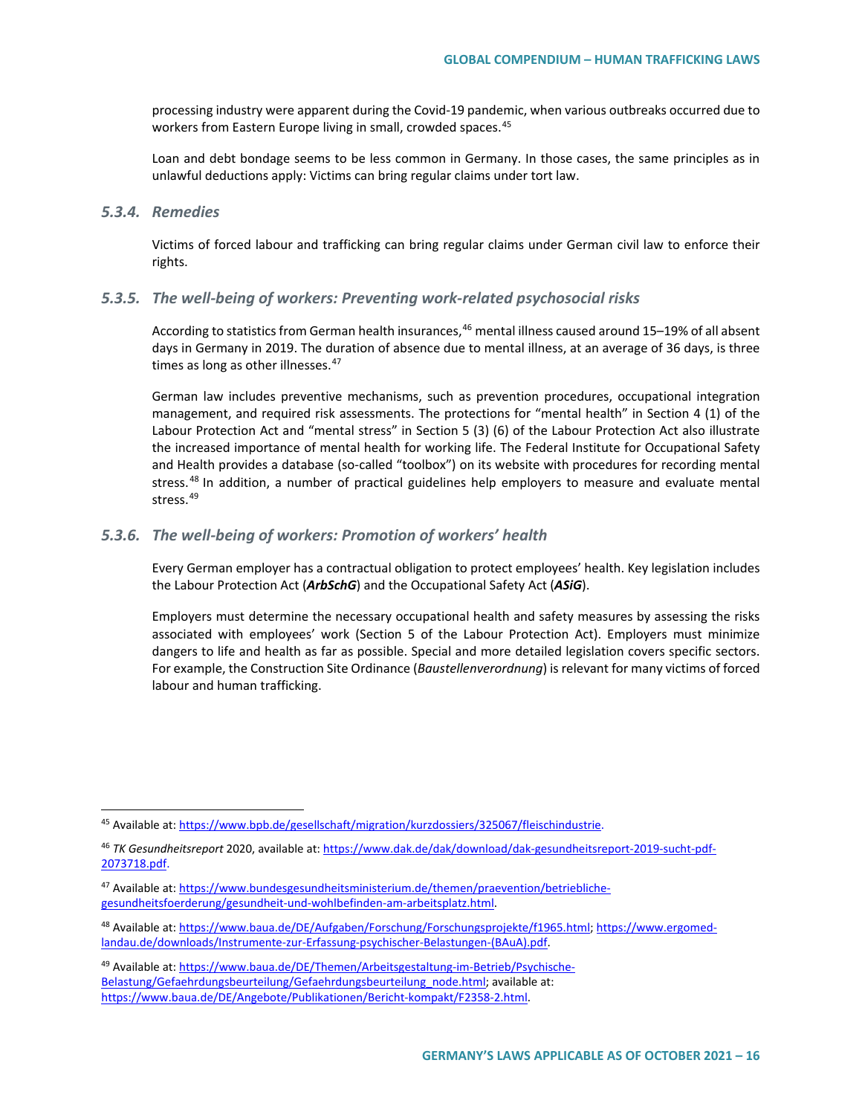processing industry were apparent during the Covid-19 pandemic, when various outbreaks occurred due to workers from Eastern Europe living in small, crowded spaces.<sup>[45](#page-15-0)</sup>

Loan and debt bondage seems to be less common in Germany. In those cases, the same principles as in unlawful deductions apply: Victims can bring regular claims under tort law.

### *5.3.4. Remedies*

Victims of forced labour and trafficking can bring regular claims under German civil law to enforce their rights.

### *5.3.5. The well-being of workers: Preventing work-related psychosocial risks*

According to statistics from German health insurances,<sup>[46](#page-15-1)</sup> mental illness caused around 15–19% of all absent days in Germany in 2019. The duration of absence due to mental illness, at an average of 36 days, is three times as long as other illnesses. $47$ 

German law includes preventive mechanisms, such as prevention procedures, occupational integration management, and required risk assessments. The protections for "mental health" in Section 4 (1) of the Labour Protection Act and "mental stress" in Section 5 (3) (6) of the Labour Protection Act also illustrate the increased importance of mental health for working life. The Federal Institute for Occupational Safety and Health provides a database (so-called "toolbox") on its website with procedures for recording mental stress.[48](#page-15-3) In addition, a number of practical guidelines help employers to measure and evaluate mental stress<sup>[49](#page-15-4)</sup>

### *5.3.6. The well-being of workers: Promotion of workers' health*

Every German employer has a contractual obligation to protect employees' health. Key legislation includes the Labour Protection Act (*ArbSchG*) and the Occupational Safety Act (*ASiG*).

Employers must determine the necessary occupational health and safety measures by assessing the risks associated with employees' work (Section 5 of the Labour Protection Act). Employers must minimize dangers to life and health as far as possible. Special and more detailed legislation covers specific sectors. For example, the Construction Site Ordinance (*Baustellenverordnung*) is relevant for many victims of forced labour and human trafficking.

<span id="page-15-0"></span> <sup>45</sup> Available at[: https://www.bpb.de/gesellschaft/migration/kurzdossiers/325067/fleischindustrie.](https://www.bpb.de/gesellschaft/migration/kurzdossiers/325067/fleischindustrie)

<span id="page-15-1"></span><sup>46</sup> *TK Gesundheitsreport* 2020, available at[: https://www.dak.de/dak/download/dak-gesundheitsreport-2019-sucht-pdf-](https://www.dak.de/dak/download/dak-gesundheitsreport-2019-sucht-pdf-2073718.pdf)[2073718.pdf.](https://www.dak.de/dak/download/dak-gesundheitsreport-2019-sucht-pdf-2073718.pdf)

<span id="page-15-2"></span><sup>47</sup> Available at[: https://www.bundesgesundheitsministerium.de/themen/praevention/betriebliche](https://www.bundesgesundheitsministerium.de/themen/praevention/betriebliche-gesundheitsfoerderung/gesundheit-und-wohlbefinden-am-arbeitsplatz.html)[gesundheitsfoerderung/gesundheit-und-wohlbefinden-am-arbeitsplatz.html.](https://www.bundesgesundheitsministerium.de/themen/praevention/betriebliche-gesundheitsfoerderung/gesundheit-und-wohlbefinden-am-arbeitsplatz.html)

<span id="page-15-3"></span><sup>48</sup> Available at[: https://www.baua.de/DE/Aufgaben/Forschung/Forschungsprojekte/f1965.html;](https://www.baua.de/DE/Aufgaben/Forschung/Forschungsprojekte/f1965.html) [https://www.ergomed](https://www.ergomed-landau.de/downloads/Instrumente-zur-Erfassung-psychischer-Belastungen-(BAuA).pdf)[landau.de/downloads/Instrumente-zur-Erfassung-psychischer-Belastungen-\(BAuA\).pdf.](https://www.ergomed-landau.de/downloads/Instrumente-zur-Erfassung-psychischer-Belastungen-(BAuA).pdf)

<span id="page-15-4"></span><sup>49</sup> Available at[: https://www.baua.de/DE/Themen/Arbeitsgestaltung-im-Betrieb/Psychische-](https://www.baua.de/DE/Themen/Arbeitsgestaltung-im-Betrieb/Psychische-Belastung/Gefaehrdungsbeurteilung/Gefaehrdungsbeurteilung_node.html)[Belastung/Gefaehrdungsbeurteilung/Gefaehrdungsbeurteilung\\_node.html;](https://www.baua.de/DE/Themen/Arbeitsgestaltung-im-Betrieb/Psychische-Belastung/Gefaehrdungsbeurteilung/Gefaehrdungsbeurteilung_node.html) available at: [https://www.baua.de/DE/Angebote/Publikationen/Bericht-kompakt/F2358-2.html.](https://www.baua.de/DE/Angebote/Publikationen/Bericht-kompakt/F2358-2.html)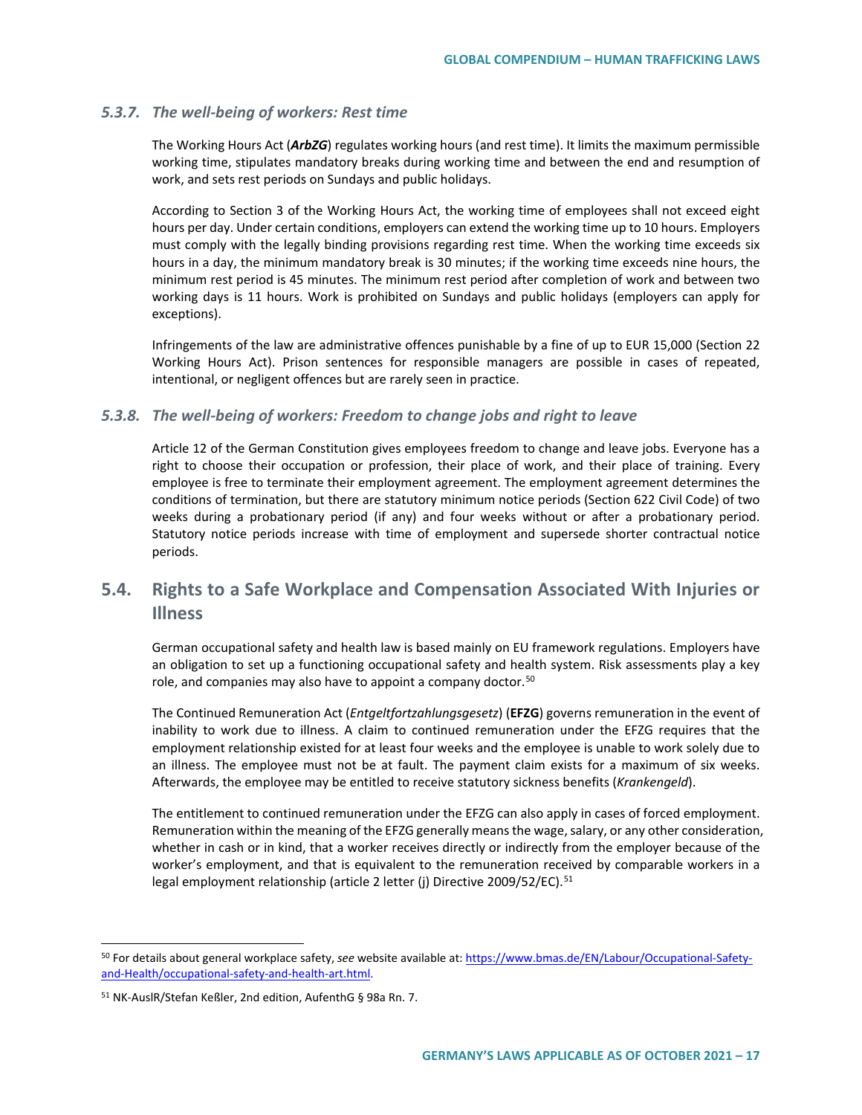### *5.3.7. The well-being of workers: Rest time*

The Working Hours Act (*ArbZG*) regulates working hours (and rest time). It limits the maximum permissible working time, stipulates mandatory breaks during working time and between the end and resumption of work, and sets rest periods on Sundays and public holidays.

According to Section 3 of the Working Hours Act, the working time of employees shall not exceed eight hours per day. Under certain conditions, employers can extend the working time up to 10 hours. Employers must comply with the legally binding provisions regarding rest time. When the working time exceeds six hours in a day, the minimum mandatory break is 30 minutes; if the working time exceeds nine hours, the minimum rest period is 45 minutes. The minimum rest period after completion of work and between two working days is 11 hours. Work is prohibited on Sundays and public holidays (employers can apply for exceptions).

Infringements of the law are administrative offences punishable by a fine of up to EUR 15,000 (Section 22 Working Hours Act). Prison sentences for responsible managers are possible in cases of repeated, intentional, or negligent offences but are rarely seen in practice.

### *5.3.8. The well-being of workers: Freedom to change jobs and right to leave*

Article 12 of the German Constitution gives employees freedom to change and leave jobs. Everyone has a right to choose their occupation or profession, their place of work, and their place of training. Every employee is free to terminate their employment agreement. The employment agreement determines the conditions of termination, but there are statutory minimum notice periods (Section 622 Civil Code) of two weeks during a probationary period (if any) and four weeks without or after a probationary period. Statutory notice periods increase with time of employment and supersede shorter contractual notice periods.

# **5.4. Rights to a Safe Workplace and Compensation Associated With Injuries or Illness**

German occupational safety and health law is based mainly on EU framework regulations. Employers have an obligation to set up a functioning occupational safety and health system. Risk assessments play a key role, and companies may also have to appoint a company doctor.<sup>[50](#page-16-0)</sup>

The Continued Remuneration Act (*Entgeltfortzahlungsgesetz*) (**EFZG**) governs remuneration in the event of inability to work due to illness. A claim to continued remuneration under the EFZG requires that the employment relationship existed for at least four weeks and the employee is unable to work solely due to an illness. The employee must not be at fault. The payment claim exists for a maximum of six weeks. Afterwards, the employee may be entitled to receive statutory sickness benefits (*Krankengeld*).

The entitlement to continued remuneration under the EFZG can also apply in cases of forced employment. Remuneration within the meaning of the EFZG generally means the wage, salary, or any other consideration, whether in cash or in kind, that a worker receives directly or indirectly from the employer because of the worker's employment, and that is equivalent to the remuneration received by comparable workers in a legal employment relationship (article 2 letter (j) Directive 2009/52/EC).<sup>[51](#page-16-1)</sup>

<span id="page-16-0"></span> <sup>50</sup> For details about general workplace safety, *see* website available at: [https://www.bmas.de/EN/Labour/Occupational-Safety](https://www.bmas.de/EN/Labour/Occupational-Safety-and-Health/occupational-safety-and-health-art.html)[and-Health/occupational-safety-and-health-art.html.](https://www.bmas.de/EN/Labour/Occupational-Safety-and-Health/occupational-safety-and-health-art.html)

<span id="page-16-1"></span><sup>51</sup> NK-AuslR/Stefan Keßler, 2nd edition, AufenthG § 98a Rn. 7.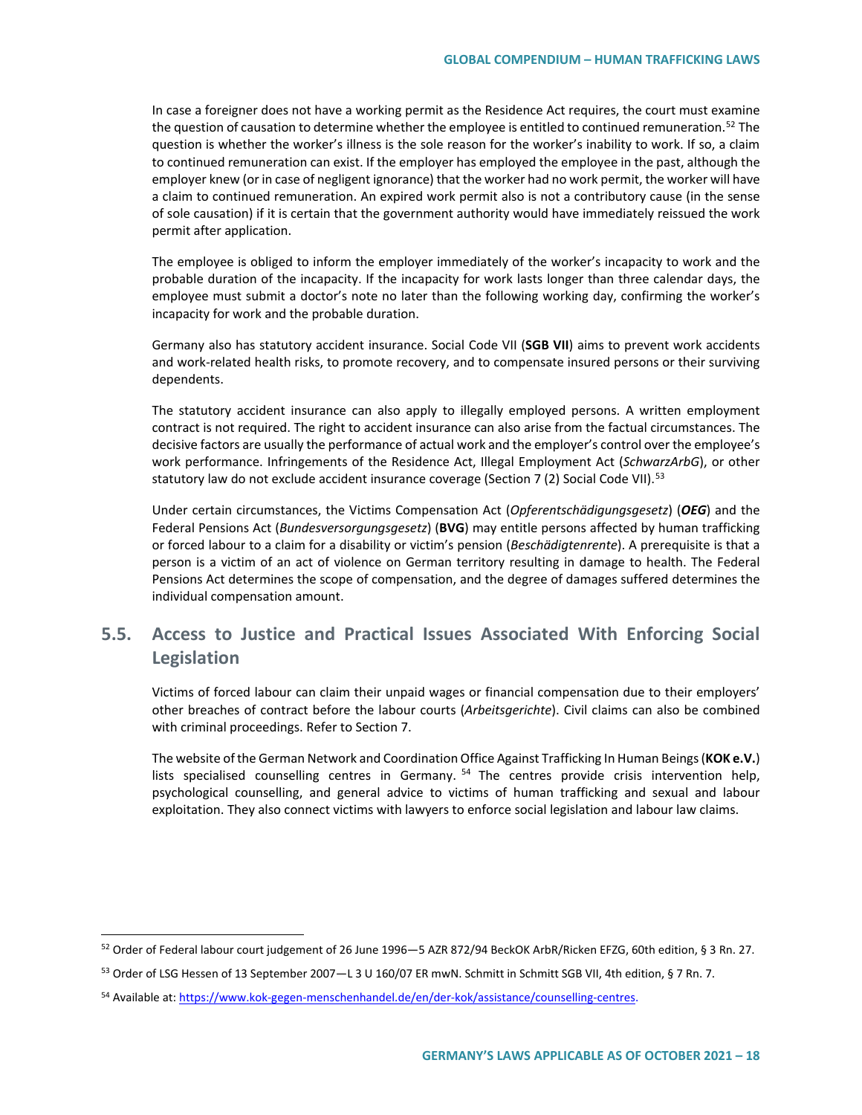In case a foreigner does not have a working permit as the Residence Act requires, the court must examine the question of causation to determine whether the employee is entitled to continued remuneration.<sup>[52](#page-17-0)</sup> The question is whether the worker's illness is the sole reason for the worker's inability to work. If so, a claim to continued remuneration can exist. If the employer has employed the employee in the past, although the employer knew (or in case of negligent ignorance) that the worker had no work permit, the worker will have a claim to continued remuneration. An expired work permit also is not a contributory cause (in the sense of sole causation) if it is certain that the government authority would have immediately reissued the work permit after application.

The employee is obliged to inform the employer immediately of the worker's incapacity to work and the probable duration of the incapacity. If the incapacity for work lasts longer than three calendar days, the employee must submit a doctor's note no later than the following working day, confirming the worker's incapacity for work and the probable duration.

Germany also has statutory accident insurance. Social Code VII (**SGB VII**) aims to prevent work accidents and work-related health risks, to promote recovery, and to compensate insured persons or their surviving dependents.

The statutory accident insurance can also apply to illegally employed persons. A written employment contract is not required. The right to accident insurance can also arise from the factual circumstances. The decisive factors are usually the performance of actual work and the employer's control over the employee's work performance. Infringements of the Residence Act, Illegal Employment Act (*SchwarzArbG*), or other statutory law do not exclude accident insurance coverage (Section 7 (2) Social Code VII).<sup>[53](#page-17-1)</sup>

Under certain circumstances, the Victims Compensation Act (*Opferentschädigungsgesetz*) (*OEG*) and the Federal Pensions Act (*Bundesversorgungsgesetz*) (**BVG**) may entitle persons affected by human trafficking or forced labour to a claim for a disability or victim's pension (*Beschädigtenrente*). A prerequisite is that a person is a victim of an act of violence on German territory resulting in damage to health. The Federal Pensions Act determines the scope of compensation, and the degree of damages suffered determines the individual compensation amount.

# **5.5. Access to Justice and Practical Issues Associated With Enforcing Social Legislation**

Victims of forced labour can claim their unpaid wages or financial compensation due to their employers' other breaches of contract before the labour courts (*Arbeitsgerichte*). Civil claims can also be combined with criminal proceedings. Refer to Section [7.](#page-22-0)

The website of the German Network and Coordination Office Against Trafficking In Human Beings (**KOK e.V.**) lists specialised counselling centres in Germany. <sup>[54](#page-17-2)</sup> The centres provide crisis intervention help, psychological counselling, and general advice to victims of human trafficking and sexual and labour exploitation. They also connect victims with lawyers to enforce social legislation and labour law claims.

<span id="page-17-0"></span> <sup>52</sup> Order of Federal labour court judgement of 26 June 1996—5 AZR 872/94 BeckOK ArbR/Ricken EFZG, 60th edition, § 3 Rn. 27.

<span id="page-17-1"></span><sup>53</sup> Order of LSG Hessen of 13 September 2007—L 3 U 160/07 ER mwN. Schmitt in Schmitt SGB VII, 4th edition, § 7 Rn. 7.

<span id="page-17-2"></span><sup>54</sup> Available at[: https://www.kok-gegen-menschenhandel.de/en/der-kok/assistance/counselling-centres.](https://www.kok-gegen-menschenhandel.de/en/der-kok/assistance/counselling-centres)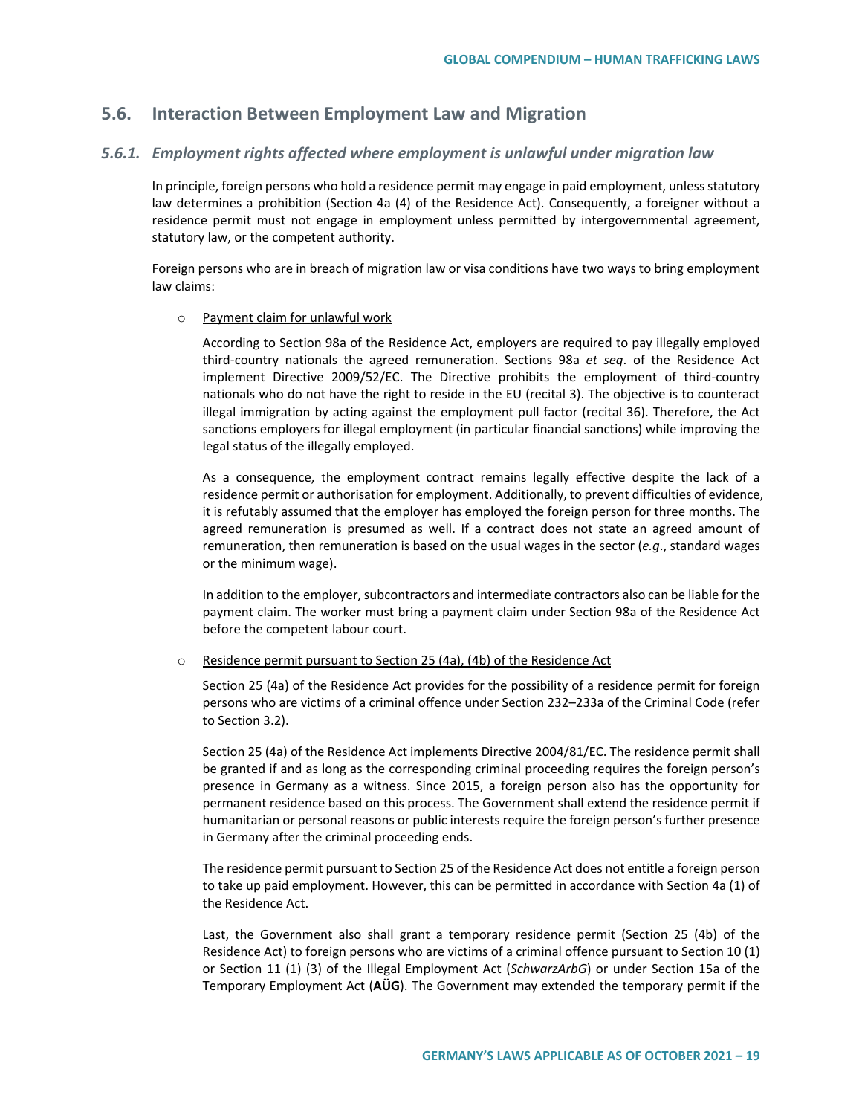# **5.6. Interaction Between Employment Law and Migration**

### *5.6.1. Employment rights affected where employment is unlawful under migration law*

In principle, foreign persons who hold a residence permit may engage in paid employment, unless statutory law determines a prohibition (Section 4a (4) of the Residence Act). Consequently, a foreigner without a residence permit must not engage in employment unless permitted by intergovernmental agreement, statutory law, or the competent authority.

Foreign persons who are in breach of migration law or visa conditions have two ways to bring employment law claims:

#### o Payment claim for unlawful work

According to Section 98a of the Residence Act, employers are required to pay illegally employed third-country nationals the agreed remuneration. Sections 98a *et seq*. of the Residence Act implement Directive 2009/52/EC. The Directive prohibits the employment of third-country nationals who do not have the right to reside in the EU (recital 3). The objective is to counteract illegal immigration by acting against the employment pull factor (recital 36). Therefore, the Act sanctions employers for illegal employment (in particular financial sanctions) while improving the legal status of the illegally employed.

As a consequence, the employment contract remains legally effective despite the lack of a residence permit or authorisation for employment. Additionally, to prevent difficulties of evidence, it is refutably assumed that the employer has employed the foreign person for three months. The agreed remuneration is presumed as well. If a contract does not state an agreed amount of remuneration, then remuneration is based on the usual wages in the sector (*e.g*., standard wages or the minimum wage).

In addition to the employer, subcontractors and intermediate contractors also can be liable for the payment claim. The worker must bring a payment claim under Section 98a of the Residence Act before the competent labour court.

o Residence permit pursuant to Section 25 (4a), (4b) of the Residence Act

Section 25 (4a) of the Residence Act provides for the possibility of a residence permit for foreign persons who are victims of a criminal offence under Section 232–233a of the Criminal Code (refer to Section 3.2).

Section 25 (4a) of the Residence Act implements Directive 2004/81/EC. The residence permit shall be granted if and as long as the corresponding criminal proceeding requires the foreign person's presence in Germany as a witness. Since 2015, a foreign person also has the opportunity for permanent residence based on this process. The Government shall extend the residence permit if humanitarian or personal reasons or public interests require the foreign person's further presence in Germany after the criminal proceeding ends.

The residence permit pursuant to Section 25 of the Residence Act does not entitle a foreign person to take up paid employment. However, this can be permitted in accordance with Section 4a (1) of the Residence Act.

Last, the Government also shall grant a temporary residence permit (Section 25 (4b) of the Residence Act) to foreign persons who are victims of a criminal offence pursuant to Section 10 (1) or Section 11 (1) (3) of the Illegal Employment Act (*SchwarzArbG*) or under Section 15a of the Temporary Employment Act (**AÜG**). The Government may extended the temporary permit if the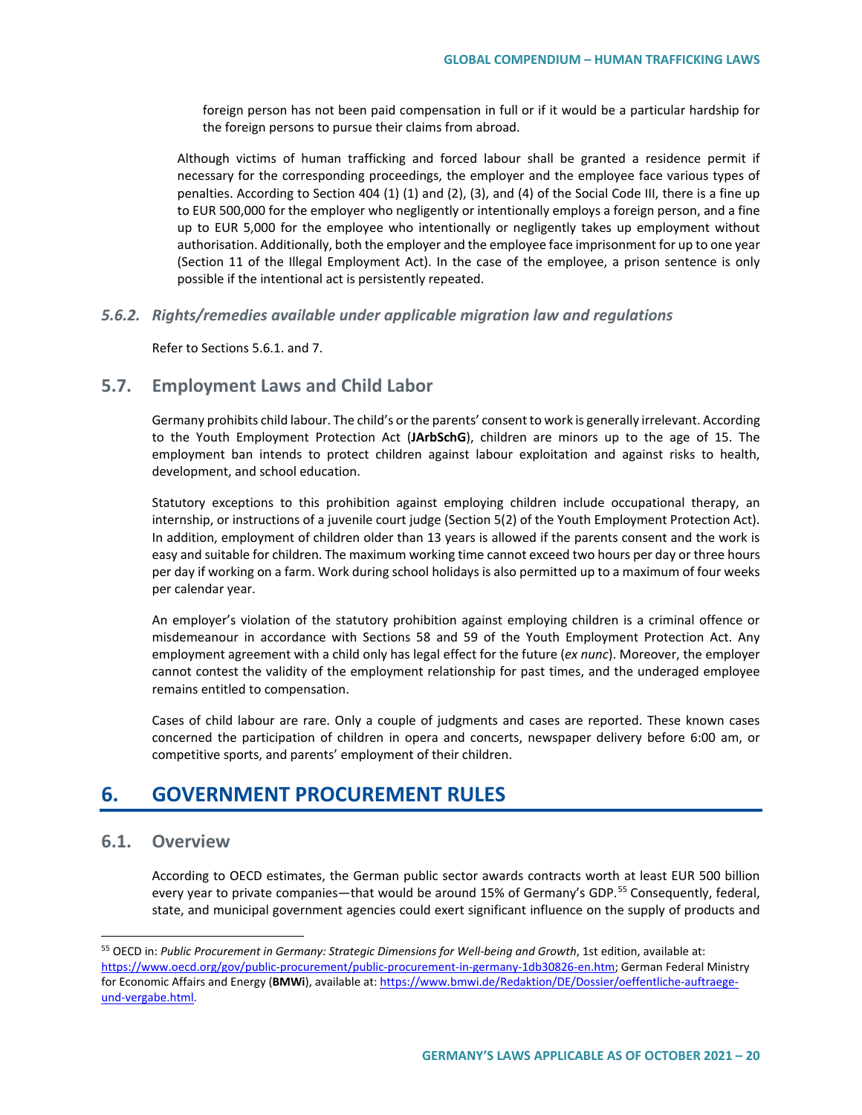foreign person has not been paid compensation in full or if it would be a particular hardship for the foreign persons to pursue their claims from abroad.

Although victims of human trafficking and forced labour shall be granted a residence permit if necessary for the corresponding proceedings, the employer and the employee face various types of penalties. According to Section 404 (1) (1) and (2), (3), and (4) of the Social Code III, there is a fine up to EUR 500,000 for the employer who negligently or intentionally employs a foreign person, and a fine up to EUR 5,000 for the employee who intentionally or negligently takes up employment without authorisation. Additionally, both the employer and the employee face imprisonment for up to one year (Section 11 of the Illegal Employment Act). In the case of the employee, a prison sentence is only possible if the intentional act is persistently repeated.

#### *5.6.2. Rights/remedies available under applicable migration law and regulations*

Refer to Sections 5.6.1. and 7.

# **5.7. Employment Laws and Child Labor**

Germany prohibits child labour. The child's or the parents' consent to work is generally irrelevant. According to the Youth Employment Protection Act (**JArbSchG**), children are minors up to the age of 15. The employment ban intends to protect children against labour exploitation and against risks to health, development, and school education.

Statutory exceptions to this prohibition against employing children include occupational therapy, an internship, or instructions of a juvenile court judge (Section 5(2) of the Youth Employment Protection Act). In addition, employment of children older than 13 years is allowed if the parents consent and the work is easy and suitable for children. The maximum working time cannot exceed two hours per day or three hours per day if working on a farm. Work during school holidays is also permitted up to a maximum of four weeks per calendar year.

An employer's violation of the statutory prohibition against employing children is a criminal offence or misdemeanour in accordance with Sections 58 and 59 of the Youth Employment Protection Act. Any employment agreement with a child only has legal effect for the future (*ex nunc*). Moreover, the employer cannot contest the validity of the employment relationship for past times, and the underaged employee remains entitled to compensation.

Cases of child labour are rare. Only a couple of judgments and cases are reported. These known cases concerned the participation of children in opera and concerts, newspaper delivery before 6:00 am, or competitive sports, and parents' employment of their children.

# **6. GOVERNMENT PROCUREMENT RULES**

# **6.1. Overview**

According to OECD estimates, the German public sector awards contracts worth at least EUR 500 billion every year to private companies—that would be around 15% of Germany's GDP.<sup>[55](#page-19-0)</sup> Consequently, federal, state, and municipal government agencies could exert significant influence on the supply of products and

<span id="page-19-0"></span> <sup>55</sup> OECD in: *Public Procurement in Germany: Strategic Dimensions for Well-being and Growth*, 1st edition, available at: [https://www.oecd.org/gov/public-procurement/public-procurement-in-germany-1db30826-en.htm;](https://www.oecd.org/gov/public-procurement/public-procurement-in-germany-1db30826-en.htm) German Federal Ministry for Economic Affairs and Energy (**BMWi**), available at[: https://www.bmwi.de/Redaktion/DE/Dossier/oeffentliche-auftraege](https://www.bmwi.de/Redaktion/DE/Dossier/oeffentliche-auftraege-und-vergabe.html)[und-vergabe.html.](https://www.bmwi.de/Redaktion/DE/Dossier/oeffentliche-auftraege-und-vergabe.html)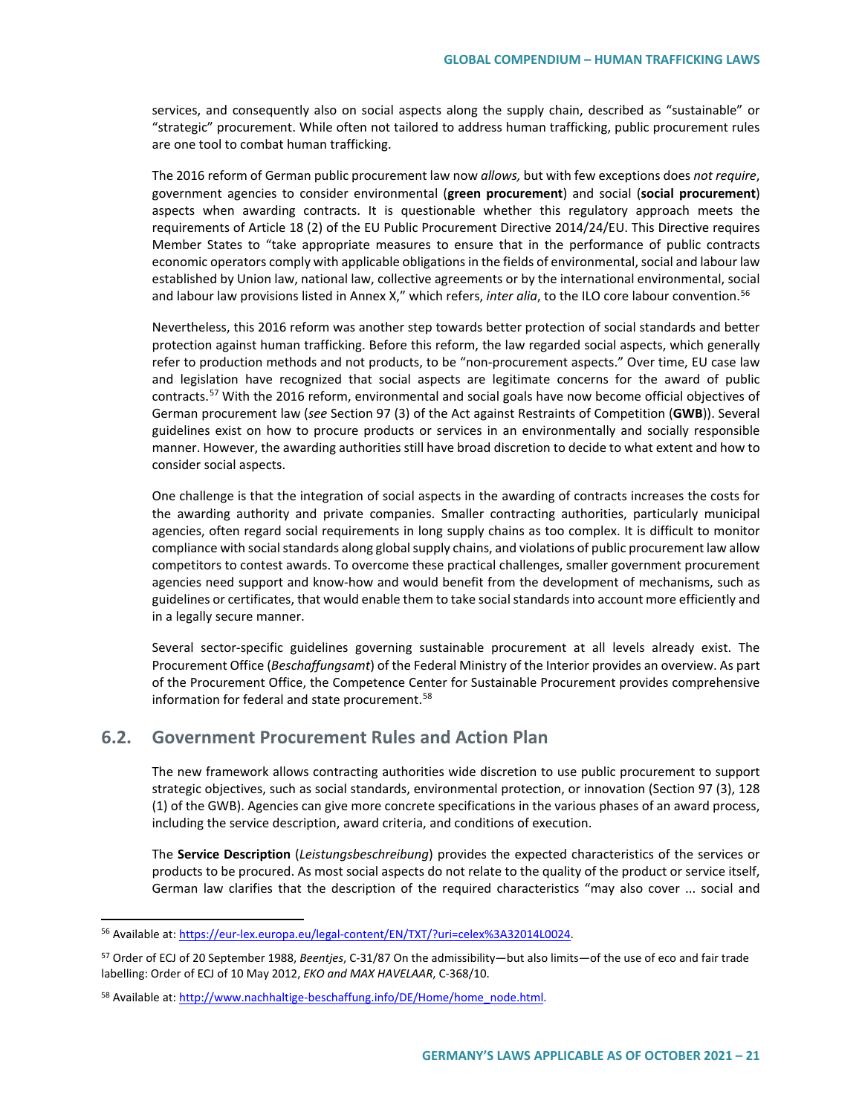services, and consequently also on social aspects along the supply chain, described as "sustainable" or "strategic" procurement. While often not tailored to address human trafficking, public procurement rules are one tool to combat human trafficking.

The 2016 reform of German public procurement law now *allows,* but with few exceptions does *not require*, government agencies to consider environmental (**green procurement**) and social (**social procurement**) aspects when awarding contracts. It is questionable whether this regulatory approach meets the requirements of Article 18 (2) of the EU Public Procurement Directive 2014/24/EU. This Directive requires Member States to "take appropriate measures to ensure that in the performance of public contracts economic operators comply with applicable obligations in the fields of environmental, social and labour law established by Union law, national law, collective agreements or by the international environmental, social and labour law provisions listed in Annex X," which refers, *inter alia*, to the ILO core labour convention.[56](#page-20-0)

Nevertheless, this 2016 reform was another step towards better protection of social standards and better protection against human trafficking. Before this reform, the law regarded social aspects, which generally refer to production methods and not products, to be "non-procurement aspects." Over time, EU case law and legislation have recognized that social aspects are legitimate concerns for the award of public contracts.<sup>[57](#page-20-1)</sup> With the 2016 reform, environmental and social goals have now become official objectives of German procurement law (*see* Section 97 (3) of the Act against Restraints of Competition (**GWB**)). Several guidelines exist on how to procure products or services in an environmentally and socially responsible manner. However, the awarding authorities still have broad discretion to decide to what extent and how to consider social aspects.

One challenge is that the integration of social aspects in the awarding of contracts increases the costs for the awarding authority and private companies. Smaller contracting authorities, particularly municipal agencies, often regard social requirements in long supply chains as too complex. It is difficult to monitor compliance with social standards along global supply chains, and violations of public procurement law allow competitors to contest awards. To overcome these practical challenges, smaller government procurement agencies need support and know-how and would benefit from the development of mechanisms, such as guidelines or certificates, that would enable them to take social standards into account more efficiently and in a legally secure manner.

Several sector-specific guidelines governing sustainable procurement at all levels already exist. The Procurement Office (*Beschaffungsamt*) of the Federal Ministry of the Interior provides an overview. As part of the Procurement Office, the Competence Center for Sustainable Procurement provides comprehensive information for federal and state procurement.<sup>[58](#page-20-2)</sup>

# **6.2. Government Procurement Rules and Action Plan**

The new framework allows contracting authorities wide discretion to use public procurement to support strategic objectives, such as social standards, environmental protection, or innovation (Section 97 (3), 128 (1) of the GWB). Agencies can give more concrete specifications in the various phases of an award process, including the service description, award criteria, and conditions of execution.

The **Service Description** (*Leistungsbeschreibung*) provides the expected characteristics of the services or products to be procured. As most social aspects do not relate to the quality of the product or service itself, German law clarifies that the description of the required characteristics "may also cover ... social and

<span id="page-20-0"></span><sup>56</sup> Available at: [https://eur-lex.europa.eu/legal-content/EN/TXT/?uri=celex%3A32014L0024.](https://eur-lex.europa.eu/legal-content/EN/TXT/?uri=celex%3A32014L0024)

<span id="page-20-1"></span><sup>57</sup> Order of ECJ of 20 September 1988, *Beentjes*, C-31/87 On the admissibility—but also limits—of the use of eco and fair trade labelling: Order of ECJ of 10 May 2012, *EKO and MAX HAVELAAR*, C-368/10.

<span id="page-20-2"></span><sup>58</sup> Available at: [http://www.nachhaltige-beschaffung.info/DE/Home/home\\_node.html.](http://www.nachhaltige-beschaffung.info/DE/Home/home_node.html)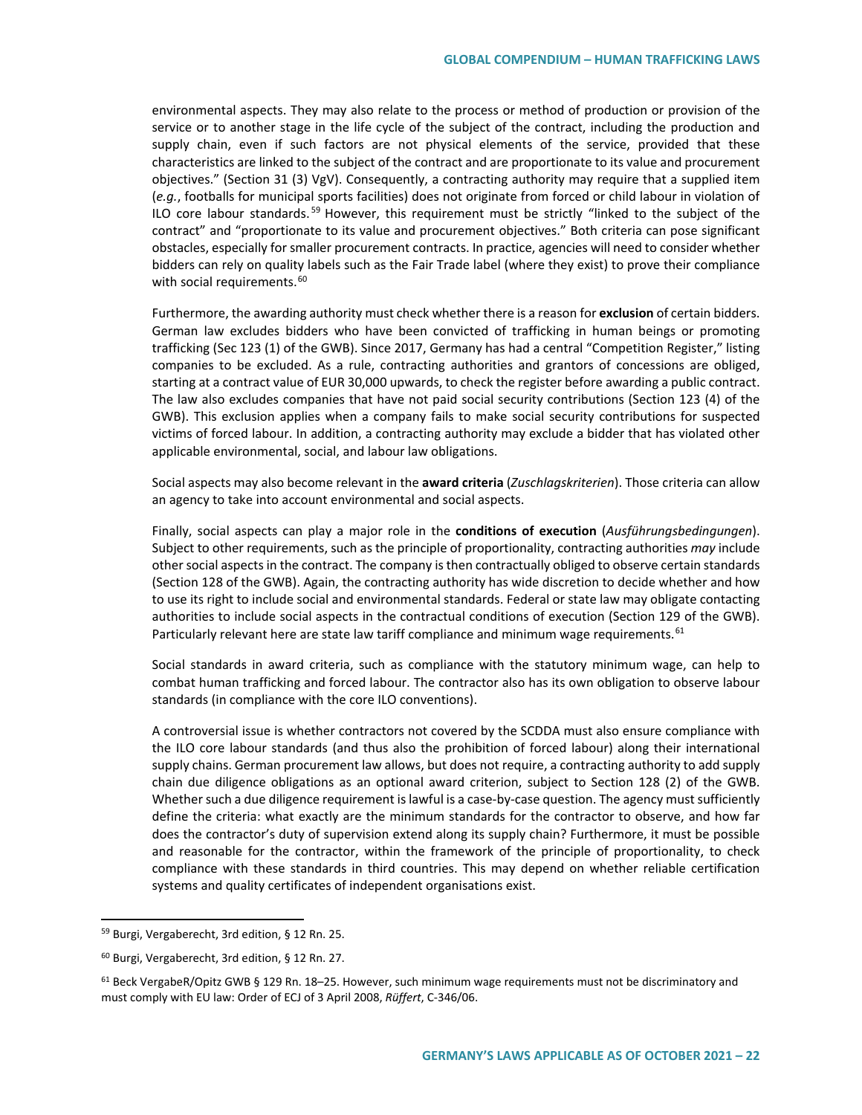environmental aspects. They may also relate to the process or method of production or provision of the service or to another stage in the life cycle of the subject of the contract, including the production and supply chain, even if such factors are not physical elements of the service, provided that these characteristics are linked to the subject of the contract and are proportionate to its value and procurement objectives." (Section 31 (3) VgV). Consequently, a contracting authority may require that a supplied item (*e.g.*, footballs for municipal sports facilities) does not originate from forced or child labour in violation of ILO core labour standards.<sup>[59](#page-21-0)</sup> However, this requirement must be strictly "linked to the subject of the contract" and "proportionate to its value and procurement objectives." Both criteria can pose significant obstacles, especially for smaller procurement contracts. In practice, agencies will need to consider whether bidders can rely on quality labels such as the Fair Trade label (where they exist) to prove their compliance with social requirements.<sup>[60](#page-21-1)</sup>

Furthermore, the awarding authority must check whether there is a reason for **exclusion** of certain bidders. German law excludes bidders who have been convicted of trafficking in human beings or promoting trafficking (Sec 123 (1) of the GWB). Since 2017, Germany has had a central "Competition Register," listing companies to be excluded. As a rule, contracting authorities and grantors of concessions are obliged, starting at a contract value of EUR 30,000 upwards, to check the register before awarding a public contract. The law also excludes companies that have not paid social security contributions (Section 123 (4) of the GWB). This exclusion applies when a company fails to make social security contributions for suspected victims of forced labour. In addition, a contracting authority may exclude a bidder that has violated other applicable environmental, social, and labour law obligations.

Social aspects may also become relevant in the **award criteria** (*Zuschlagskriterien*). Those criteria can allow an agency to take into account environmental and social aspects.

Finally, social aspects can play a major role in the **conditions of execution** (*Ausführungsbedingungen*). Subject to other requirements, such as the principle of proportionality, contracting authorities *may* include other social aspects in the contract. The company is then contractually obliged to observe certain standards (Section 128 of the GWB). Again, the contracting authority has wide discretion to decide whether and how to use its right to include social and environmental standards. Federal or state law may obligate contacting authorities to include social aspects in the contractual conditions of execution (Section 129 of the GWB). Particularly relevant here are state law tariff compliance and minimum wage requirements.<sup>[61](#page-21-2)</sup>

Social standards in award criteria, such as compliance with the statutory minimum wage, can help to combat human trafficking and forced labour. The contractor also has its own obligation to observe labour standards (in compliance with the core ILO conventions).

A controversial issue is whether contractors not covered by the SCDDA must also ensure compliance with the ILO core labour standards (and thus also the prohibition of forced labour) along their international supply chains. German procurement law allows, but does not require, a contracting authority to add supply chain due diligence obligations as an optional award criterion, subject to Section 128 (2) of the GWB. Whether such a due diligence requirement is lawful is a case-by-case question. The agency must sufficiently define the criteria: what exactly are the minimum standards for the contractor to observe, and how far does the contractor's duty of supervision extend along its supply chain? Furthermore, it must be possible and reasonable for the contractor, within the framework of the principle of proportionality, to check compliance with these standards in third countries. This may depend on whether reliable certification systems and quality certificates of independent organisations exist.

<span id="page-21-0"></span> <sup>59</sup> Burgi, Vergaberecht, 3rd edition, § 12 Rn. 25.

<span id="page-21-1"></span><sup>60</sup> Burgi, Vergaberecht, 3rd edition, § 12 Rn. 27.

<span id="page-21-2"></span><sup>61</sup> Beck VergabeR/Opitz GWB § 129 Rn. 18–25. However, such minimum wage requirements must not be discriminatory and must comply with EU law: Order of ECJ of 3 April 2008, *Rüffert*, C-346/06.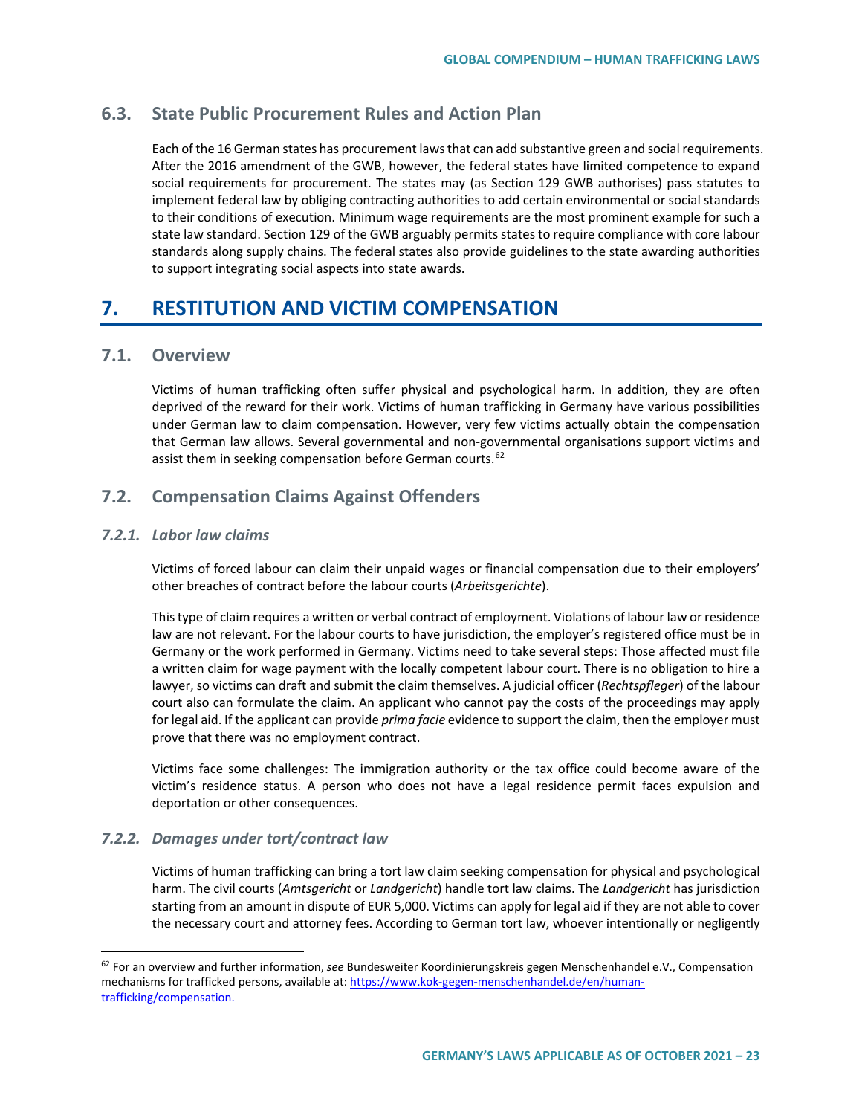# **6.3. State Public Procurement Rules and Action Plan**

Each of the 16 German states has procurement laws that can add substantive green and social requirements. After the 2016 amendment of the GWB, however, the federal states have limited competence to expand social requirements for procurement. The states may (as Section 129 GWB authorises) pass statutes to implement federal law by obliging contracting authorities to add certain environmental or social standards to their conditions of execution. Minimum wage requirements are the most prominent example for such a state law standard. Section 129 of the GWB arguably permits states to require compliance with core labour standards along supply chains. The federal states also provide guidelines to the state awarding authorities to support integrating social aspects into state awards.

# <span id="page-22-0"></span>**7. RESTITUTION AND VICTIM COMPENSATION**

# **7.1. Overview**

Victims of human trafficking often suffer physical and psychological harm. In addition, they are often deprived of the reward for their work. Victims of human trafficking in Germany have various possibilities under German law to claim compensation. However, very few victims actually obtain the compensation that German law allows. Several governmental and non-governmental organisations support victims and assist them in seeking compensation before German courts.<sup>[62](#page-22-1)</sup>

# **7.2. Compensation Claims Against Offenders**

### *7.2.1. Labor law claims*

Victims of forced labour can claim their unpaid wages or financial compensation due to their employers' other breaches of contract before the labour courts (*Arbeitsgerichte*).

This type of claim requires a written or verbal contract of employment. Violations of labour law or residence law are not relevant. For the labour courts to have jurisdiction, the employer's registered office must be in Germany or the work performed in Germany. Victims need to take several steps: Those affected must file a written claim for wage payment with the locally competent labour court. There is no obligation to hire a lawyer, so victims can draft and submit the claim themselves. A judicial officer (*Rechtspfleger*) of the labour court also can formulate the claim. An applicant who cannot pay the costs of the proceedings may apply for legal aid. If the applicant can provide *prima facie* evidence to support the claim, then the employer must prove that there was no employment contract.

Victims face some challenges: The immigration authority or the tax office could become aware of the victim's residence status. A person who does not have a legal residence permit faces expulsion and deportation or other consequences.

## *7.2.2. Damages under tort/contract law*

Victims of human trafficking can bring a tort law claim seeking compensation for physical and psychological harm. The civil courts (*Amtsgericht* or *Landgericht*) handle tort law claims. The *Landgericht* has jurisdiction starting from an amount in dispute of EUR 5,000. Victims can apply for legal aid if they are not able to cover the necessary court and attorney fees. According to German tort law, whoever intentionally or negligently

<span id="page-22-1"></span> <sup>62</sup> For an overview and further information, *see* Bundesweiter Koordinierungskreis gegen Menschenhandel e.V., Compensation mechanisms for trafficked persons, available at[: https://www.kok-gegen-menschenhandel.de/en/human](https://www.kok-gegen-menschenhandel.de/en/human-trafficking/compensation)[trafficking/compensation.](https://www.kok-gegen-menschenhandel.de/en/human-trafficking/compensation)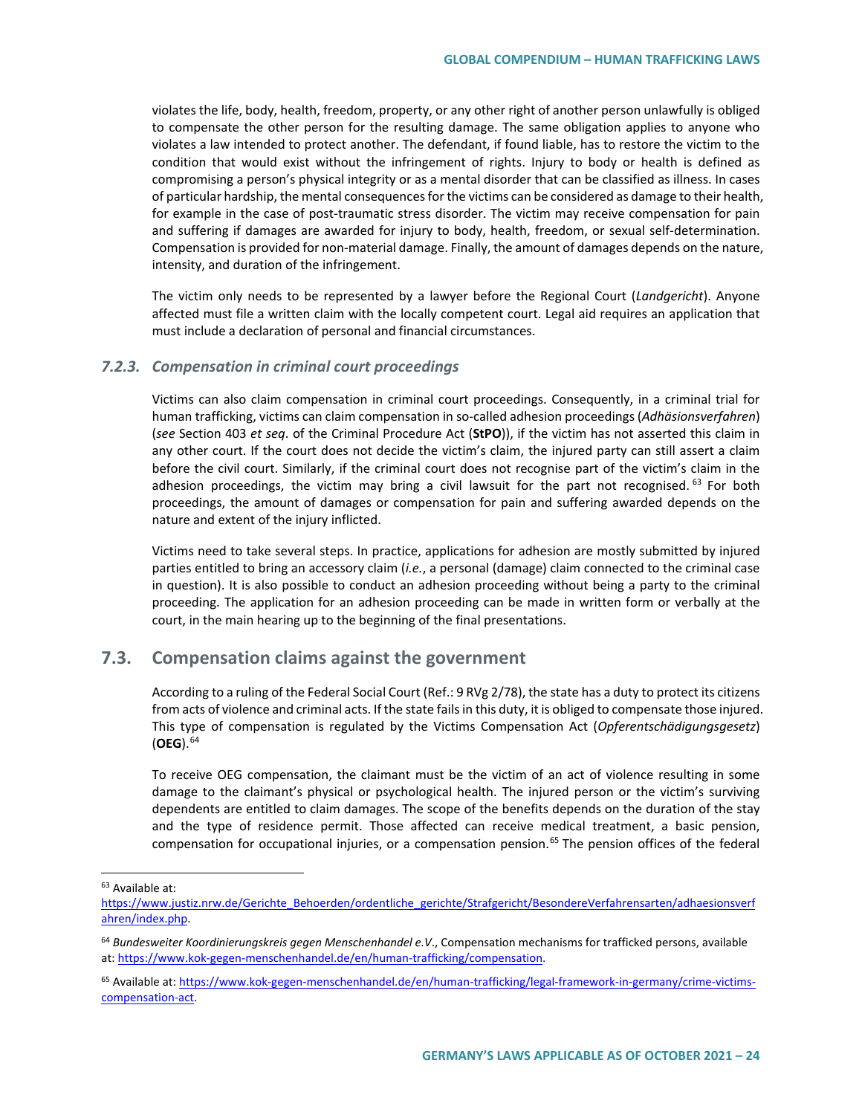violates the life, body, health, freedom, property, or any other right of another person unlawfully is obliged to compensate the other person for the resulting damage. The same obligation applies to anyone who violates a law intended to protect another. The defendant, if found liable, has to restore the victim to the condition that would exist without the infringement of rights. Injury to body or health is defined as compromising a person's physical integrity or as a mental disorder that can be classified as illness. In cases of particular hardship, the mental consequences for the victims can be considered as damage to their health, for example in the case of post-traumatic stress disorder. The victim may receive compensation for pain and suffering if damages are awarded for injury to body, health, freedom, or sexual self-determination. Compensation is provided for non-material damage. Finally, the amount of damages depends on the nature, intensity, and duration of the infringement.

The victim only needs to be represented by a lawyer before the Regional Court (*Landgericht*). Anyone affected must file a written claim with the locally competent court. Legal aid requires an application that must include a declaration of personal and financial circumstances.

#### *7.2.3. Compensation in criminal court proceedings*

Victims can also claim compensation in criminal court proceedings. Consequently, in a criminal trial for human trafficking, victims can claim compensation in so-called adhesion proceedings (*Adhäsionsverfahren*) (*see* Section 403 *et seq*. of the Criminal Procedure Act (**StPO**)), if the victim has not asserted this claim in any other court. If the court does not decide the victim's claim, the injured party can still assert a claim before the civil court. Similarly, if the criminal court does not recognise part of the victim's claim in the adhesion proceedings, the victim may bring a civil lawsuit for the part not recognised. <sup>[63](#page-23-0)</sup> For both proceedings, the amount of damages or compensation for pain and suffering awarded depends on the nature and extent of the injury inflicted.

Victims need to take several steps. In practice, applications for adhesion are mostly submitted by injured parties entitled to bring an accessory claim (*i.e.*, a personal (damage) claim connected to the criminal case in question). It is also possible to conduct an adhesion proceeding without being a party to the criminal proceeding. The application for an adhesion proceeding can be made in written form or verbally at the court, in the main hearing up to the beginning of the final presentations.

# **7.3. Compensation claims against the government**

According to a ruling of the Federal Social Court (Ref.: 9 RVg 2/78), the state has a duty to protect its citizens from acts of violence and criminal acts. If the state fails in this duty, it is obliged to compensate those injured. This type of compensation is regulated by the Victims Compensation Act (*Opferentschädigungsgesetz*) (**OEG**).[64](#page-23-1)

To receive OEG compensation, the claimant must be the victim of an act of violence resulting in some damage to the claimant's physical or psychological health. The injured person or the victim's surviving dependents are entitled to claim damages. The scope of the benefits depends on the duration of the stay and the type of residence permit. Those affected can receive medical treatment, a basic pension, compensation for occupational injuries, or a compensation pension.<sup>[65](#page-23-2)</sup> The pension offices of the federal

<span id="page-23-0"></span> <sup>63</sup> Available at:

[https://www.justiz.nrw.de/Gerichte\\_Behoerden/ordentliche\\_gerichte/Strafgericht/BesondereVerfahrensarten/adhaesionsverf](https://www.justiz.nrw.de/Gerichte_Behoerden/ordentliche_gerichte/Strafgericht/BesondereVerfahrensarten/adhaesionsverfahren/index.php) [ahren/index.php.](https://www.justiz.nrw.de/Gerichte_Behoerden/ordentliche_gerichte/Strafgericht/BesondereVerfahrensarten/adhaesionsverfahren/index.php)

<span id="page-23-1"></span><sup>64</sup> *Bundesweiter Koordinierungskreis gegen Menschenhandel e.V*., Compensation mechanisms for trafficked persons, available at: [https://www.kok-gegen-menschenhandel.de/en/human-trafficking/compensation.](https://www.kok-gegen-menschenhandel.de/en/human-trafficking/compensation)

<span id="page-23-2"></span><sup>&</sup>lt;sup>65</sup> Available at[: https://www.kok-gegen-menschenhandel.de/en/human-trafficking/legal-framework-in-germany/crime-victims](https://www.kok-gegen-menschenhandel.de/en/human-trafficking/legal-framework-in-germany/crime-victims-compensation-act)[compensation-act.](https://www.kok-gegen-menschenhandel.de/en/human-trafficking/legal-framework-in-germany/crime-victims-compensation-act)